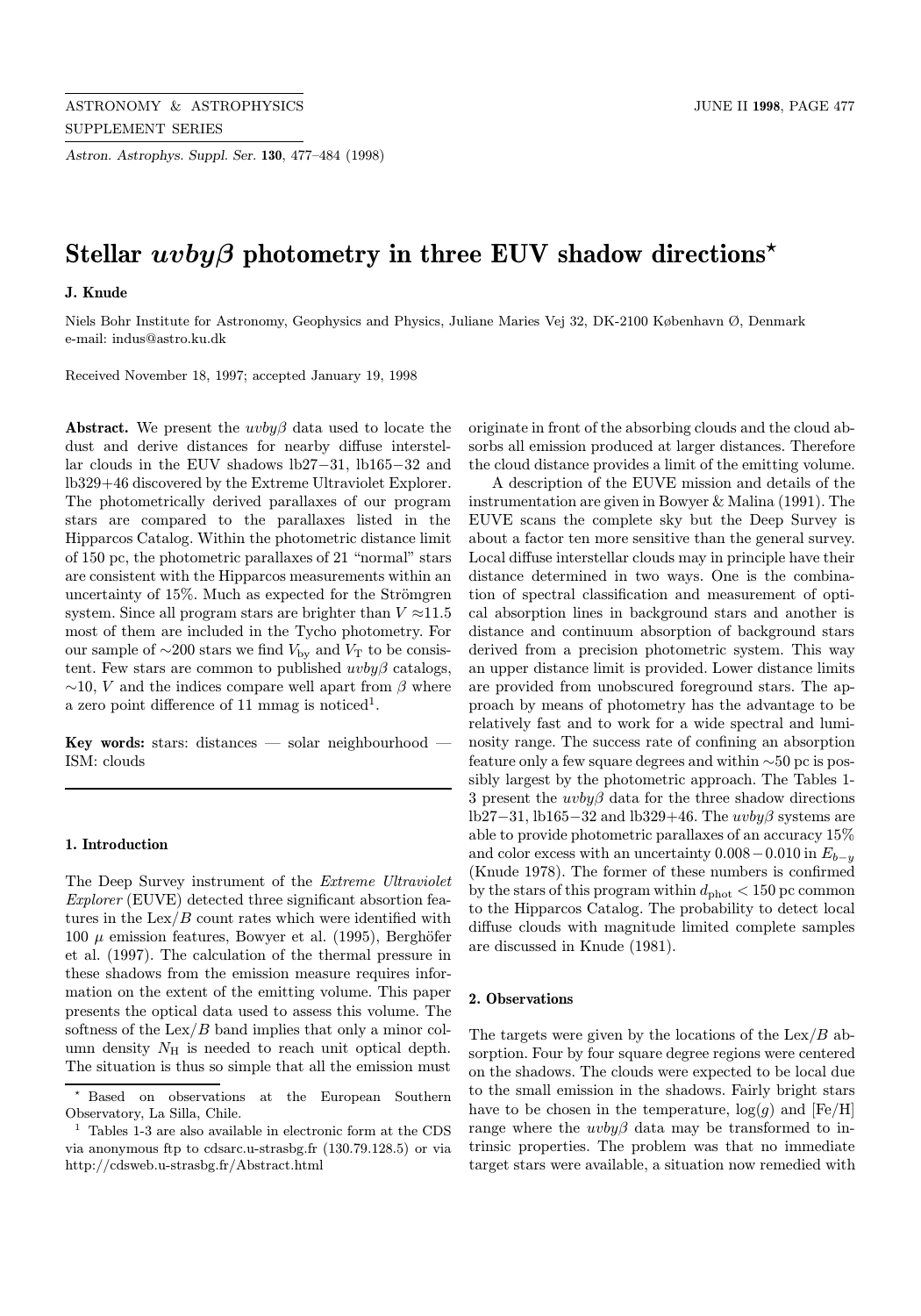Astron. Astrophys. Suppl. Ser. 130, 477–484 (1998)

# Stellar  $uvby\beta$  photometry in three EUV shadow directions<sup>\*</sup>

# J. Knude

Niels Bohr Institute for Astronomy, Geophysics and Physics, Juliane Maries Vej 32, DK-2100 København Ø, Denmark e-mail: indus@astro.ku.dk

Received November 18, 1997; accepted January 19, 1998

Abstract. We present the  $uvby\beta$  data used to locate the dust and derive distances for nearby diffuse interstellar clouds in the EUV shadows lb27−31, lb165−32 and lb329+46 discovered by the Extreme Ultraviolet Explorer. The photometrically derived parallaxes of our program stars are compared to the parallaxes listed in the Hipparcos Catalog. Within the photometric distance limit of 150 pc, the photometric parallaxes of 21 "normal" stars are consistent with the Hipparcos measurements within an uncertainty of  $15\%$ . Much as expected for the Strömgren system. Since all program stars are brighter than  $V \approx 11.5$ most of them are included in the Tycho photometry. For our sample of  $\sim$ 200 stars we find  $V_{\text{bv}}$  and  $V_{\text{T}}$  to be consistent. Few stars are common to published  $uvby\beta$  catalogs,  $\sim$ 10, V and the indices compare well apart from  $\beta$  where a zero point difference of 11 mmag is noticed<sup>1</sup>.

Key words: stars: distances — solar neighbourhood — ISM: clouds

### 1. Introduction

The Deep Survey instrument of the Extreme Ultraviolet Explorer (EUVE) detected three significant absortion features in the  $\text{Lex}/B$  count rates which were identified with 100  $\mu$  emission features, Bowyer et al. (1995), Berghöfer et al. (1997). The calculation of the thermal pressure in these shadows from the emission measure requires information on the extent of the emitting volume. This paper presents the optical data used to assess this volume. The softness of the  $\text{Lex}/B$  band implies that only a minor column density  $N_{\rm H}$  is needed to reach unit optical depth. The situation is thus so simple that all the emission must

originate in front of the absorbing clouds and the cloud absorbs all emission produced at larger distances. Therefore the cloud distance provides a limit of the emitting volume.

A description of the EUVE mission and details of the instrumentation are given in Bowyer & Malina (1991). The EUVE scans the complete sky but the Deep Survey is about a factor ten more sensitive than the general survey. Local diffuse interstellar clouds may in principle have their distance determined in two ways. One is the combination of spectral classification and measurement of optical absorption lines in background stars and another is distance and continuum absorption of background stars derived from a precision photometric system. This way an upper distance limit is provided. Lower distance limits are provided from unobscured foreground stars. The approach by means of photometry has the advantage to be relatively fast and to work for a wide spectral and luminosity range. The success rate of confining an absorption feature only a few square degrees and within ∼50 pc is possibly largest by the photometric approach. The Tables 1- 3 present the  $uvby\beta$  data for the three shadow directions lb27−31, lb165−32 and lb329+46. The  $uvby\beta$  systems are able to provide photometric parallaxes of an accuracy 15% and color excess with an uncertainty  $0.008-0.010$  in  $E_{b-y}$ (Knude 1978). The former of these numbers is confirmed by the stars of this program within  $d_{\text{phot}} < 150$  pc common to the Hipparcos Catalog. The probability to detect local diffuse clouds with magnitude limited complete samples are discussed in Knude (1981).

#### 2. Observations

The targets were given by the locations of the  $\text{Lex}/B$  absorption. Four by four square degree regions were centered on the shadows. The clouds were expected to be local due to the small emission in the shadows. Fairly bright stars have to be chosen in the temperature,  $log(g)$  and  $[Fe/H]$ range where the  $uvby\beta$  data may be transformed to intrinsic properties. The problem was that no immediate target stars were available, a situation now remedied with

<sup>?</sup> Based on observations at the European Southern Observatory, La Silla, Chile.

<sup>1</sup> Tables 1-3 are also available in electronic form at the CDS via anonymous ftp to cdsarc.u-strasbg.fr (130.79.128.5) or via http://cdsweb.u-strasbg.fr/Abstract.html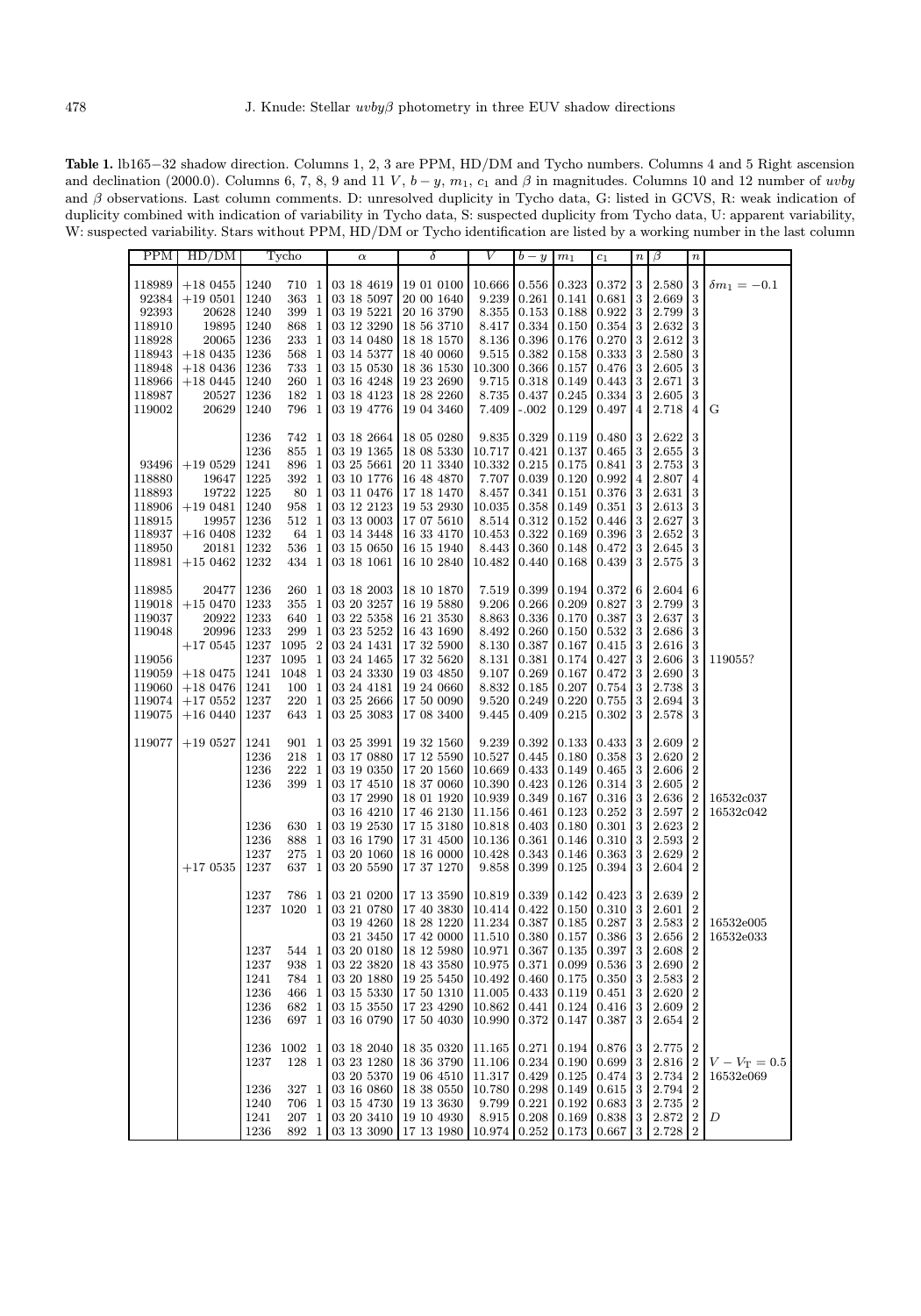Table 1. lb165−32 shadow direction. Columns 1, 2, 3 are PPM, HD/DM and Tycho numbers. Columns 4 and 5 Right ascension and declination (2000.0). Columns 6, 7, 8, 9 and 11 V,  $b - y$ ,  $m_1$ ,  $c_1$  and  $\beta$  in magnitudes. Columns 10 and 12 number of uvby and β observations. Last column comments. D: unresolved duplicity in Tycho data, G: listed in GCVS, R: weak indication of duplicity combined with indication of variability in Tycho data, S: suspected duplicity from Tycho data, U: apparent variability, W: suspected variability. Stars without PPM, HD/DM or Tycho identification are listed by a working number in the last column

| PPM    | HD/DM       |              | Tycho          | $\alpha$    | δ                                                | V      | $b - y$ | m <sub>1</sub> | $\scriptstyle c_1$         | $\boldsymbol{n}$ | β              | $\it n$          |                     |
|--------|-------------|--------------|----------------|-------------|--------------------------------------------------|--------|---------|----------------|----------------------------|------------------|----------------|------------------|---------------------|
|        |             |              |                |             |                                                  |        |         |                |                            |                  |                |                  |                     |
| 118989 | $+180455$   | 1240         | 710 1          | 03 18 46 19 | 19 01 0100                                       | 10.666 | 0.556   | 0.323          | 0.372                      | 3                | 2.580          | 3                | $\delta m_1 = -0.1$ |
| 92384  | $+190501$   | 1240         | 363 1          | 03 18 5097  | 20 00 1640                                       | 9.239  | 0.261   | 0.141          | 0.681                      | 3                | 2.669          | 3                |                     |
| 92393  | 20628       | 1240         | 399 1          | 03 19 5221  | 20 16 3790                                       | 8.355  | 0.153   | 0.188          | 0.922                      | 3                | 2.799          | 3                |                     |
| 118910 | 19895       | 1240         | 868 1          | 03 12 3290  | 18 56 3710                                       | 8.417  | 0.334   | 0.150          | 0.354                      | 3                | 2.632          | 3                |                     |
| 118928 | 20065       | 1236         | 233 1          | 03 14 0480  | 18 18 1570                                       | 8.136  | 0.396   | 0.176          | 0.270                      | 3                | 2.612          | 3                |                     |
| 118943 | $+18~0435$  | 1236         | 568 1          | 03 14 5377  | 18 40 0060                                       | 9.515  | 0.382   | 0.158          | 0.333                      | 3                | 2.580          | 3                |                     |
| 118948 | $+180436$   | 1236         | 733 1          | 03 15 0530  | 18 36 1530                                       | 10.300 | 0.366   | 0.157          | 0.476                      | 3                | 2.605          | 3                |                     |
| 118966 | $+180445$   | 1240         | 260 1          | 03 16 4248  | 19 23 2690                                       | 9.715  | 0.318   | 0.149          | 0.443                      | 3                | 2.671          | 3                |                     |
| 118987 | 20527       | 1236         | 182 1          | 03 18 41 23 | 18 28 2260                                       | 8.735  | 0.437   | 0.245          | 0.334                      | $\sqrt{3}$       | 2.605          | 3                |                     |
| 119002 | 20629       | 1240         | 796 1          | 03 19 4776  | 19 04 3460                                       | 7.409  | $-.002$ | 0.129          | 0.497                      | $\overline{4}$   | 2.718          | 4                | G                   |
|        |             |              |                |             |                                                  |        |         |                |                            |                  |                |                  |                     |
|        |             | 1236         | 742 1          | 03 18 2664  | 18 05 0280                                       | 9.835  | 0.329   | 0.119          | 0.480                      | 3                | 2.622          | 3                |                     |
|        |             | 1236         | 855 1          | 03 19 1365  | 18 08 5330                                       | 10.717 | 0.421   | 0.137          | 0.465                      | 3                | 2.655          | 3                |                     |
| 93496  | $+190529$   | 1241         | 896 1          | 03 25 5661  | 20 11 3340                                       | 10.332 | 0.215   | 0.175          | 0.841                      | 3                | 2.753          | 3                |                     |
| 118880 | 19647       | 1225         | 392 1          | 03 10 1776  | 16 48 4870                                       | 7.707  | 0.039   | 0.120          | 0.992                      | 4                | 2.807          | 4                |                     |
| 118893 | 19722       | 1225         | 80 1           | 03 11 0476  | 17 18 1470                                       | 8.457  | 0.341   | 0.151          | 0.376                      | 3                | 2.631          | 3                |                     |
| 118906 | $+190481$   | 1240         | 958 1          | 03 12 2123  | 19 53 2930                                       | 10.035 | 0.358   | 0.149          | 0.351                      | 3                | 2.613          | 3                |                     |
| 118915 | 19957       | 1236         | 512 1          | 03 13 0003  | 17 07 5610                                       | 8.514  | 0.312   | 0.152          | 0.446                      | 3                | 2.627          | 3                |                     |
| 118937 | $+160408$   | 1232         | 64 1           | 03 14 3448  | 16 33 4170                                       | 10.453 | 0.322   | 0.169          | 0.396                      | 3                | 2.652          | 3                |                     |
| 118950 | 20181       | 1232         | 536 1          | 03 15 0650  | 16 15 1940                                       | 8.443  | 0.360   | 0.148          | 0.472                      | $\sqrt{3}$       | 2.645          | 3                |                     |
| 118981 | $+15\ 0462$ | 1232         | 434 1          | 03 18 1061  | 16 10 2840                                       | 10.482 | 0.440   | 0.168          | 0.439                      | 3                | 2.575          | 3                |                     |
|        |             |              |                |             |                                                  |        |         |                |                            |                  |                |                  |                     |
| 118985 | 20477       | 1236         | 260 1          | 03 18 2003  | 18 10 1870                                       | 7.519  | 0.399   | 0.194          | 0.372                      | 6                | $\;\:2.604$    | 6                |                     |
| 119018 | $+150470$   | 1233         | 355 1          | 03 20 3257  | 16 19 5880                                       | 9.206  | 0.266   | 0.209          | 0.827                      | 3                | 2.799          | 3                |                     |
| 119037 | 20922       | 1233         | 640 1          | 03 22 5358  | 16 21 3530                                       | 8.863  | 0.336   | 0.170          | 0.387                      | 3                | 2.637          | 3                |                     |
| 119048 | 20996       | 1233         | 299 1          | 03 23 5252  | 16 43 1690                                       | 8.492  | 0.260   | 0.150          | 0.532                      | 3                | 2.686          | 3                |                     |
|        | $+170545$   | 1237         | 1095 2         | 03 24 1431  | 17 32 5900                                       | 8.130  | 0.387   | 0.167          | 0.415                      | 3                | 2.616          | 3                |                     |
| 119056 |             | 1237         | 1095 1         | 03 24 1465  | 17 32 5620                                       | 8.131  | 0.381   | 0.174          | 0.427                      | 3                | 2.606          | 3                | 119055?             |
| 119059 | $+180475$   | 1241         | 1048 1         | 03 24 3330  | 19 03 4850                                       | 9.107  | 0.269   | 0.167          | 0.472                      | 3                | 2.690          | 3                |                     |
| 119060 | $+180476$   | 1241         | 100 1          | 03 24 4181  | 19 24 0660                                       | 8.832  | 0.185   | 0.207          | 0.754                      | 3                | 2.738          | 3                |                     |
| 119074 | $+170552$   | 1237         | 220 1          | 03 25 2666  | 17 50 0090                                       | 9.520  | 0.249   | 0.220          | 0.755                      | 3                | 2.694          | 3                |                     |
| 119075 |             | 1237         | 643 1          | 03 25 3083  | 17 08 3400                                       | 9.445  | 0.409   | 0.215          | 0.302                      | 3                | 2.578          | 3                |                     |
|        | $+160440$   |              |                |             |                                                  |        |         |                |                            |                  |                |                  |                     |
| 119077 | $+19\;0527$ | 1241         | 901 1          | 03 25 3991  | 19 32 1560                                       | 9.239  | 0.392   | 0.133          | $0.433 \mid 3$             |                  | 2.609          | 2                |                     |
|        |             | 1236         | 218 1          | 03 17 0880  | 17 12 5590                                       | 10.527 | 0.445   | 0.180          | 0.358                      | 3                | 2.620          | $\boldsymbol{2}$ |                     |
|        |             | 1236         | 222 1          | 03 19 0350  | 17 20 1560                                       | 10.669 | 0.433   | 0.149          | 0.465                      | 3                | 2.606          | 2                |                     |
|        |             | 1236         | 399 1          | 03 17 4510  | 18 37 0060                                       | 10.390 | 0.423   | 0.126          | 0.314                      | 3                | 2.605          | 2                |                     |
|        |             |              |                | 03 17 2990  | 18 01 1920                                       | 10.939 | 0.349   | 0.167          | 0.316                      | 3                | 2.636          | $\overline{2}$   | 16532c037           |
|        |             |              |                | 03 16 4210  | 17 46 2130                                       | 11.156 | 0.461   | 0.123          | 0.252                      | 3                | $2.597\,$      | 2                | 16532c042           |
|        |             | 1236         | 630 1          | 03 19 2530  | 17 15 3180                                       | 10.818 | 0.403   | 0.180          | 0.301                      | 3                | 2.623          | $\overline{2}$   |                     |
|        |             | 1236         | 888 1          | 03 16 1790  | 17 31 4500                                       | 10.136 | 0.361   | 0.146          | 0.310                      | 3                | 2.593          | $\boldsymbol{2}$ |                     |
|        |             | 1237         | 275 1          | 03 20 1060  | 18 16 0000                                       | 10.428 | 0.343   | 0.146          | 0.363                      | 3                | 2.629          | 2                |                     |
|        | $+170535$   | 1237         | 637 1          | 03 20 5590  | 17 37 1270                                       | 9.858  | 0.399   | 0.125          | 0.394                      | 3                | 2.604          | 2                |                     |
|        |             |              |                |             |                                                  |        |         |                |                            |                  |                |                  |                     |
|        |             | 1237         | 786 1          | 03 21 0200  | 17 13 3590                                       | 10.819 | 0.339   | 0.142          | 0.423                      | 3                | 2.639          | 2                |                     |
|        |             |              | 1237 1020 1    | 03 21 0780  | 17 40 3830                                       | 10.414 | 0.422   | 0.150          | 0.310                      | 3                | 2.601          | $\boldsymbol{2}$ |                     |
|        |             |              |                | 03 19 4260  | 18 28 1220                                       | 11.234 | 0.387   | 0.185          | 0.287                      | 3                | 2.583          | $\boldsymbol{2}$ | 16532e005           |
|        |             |              |                |             | 03 21 3450 17 42 0000 11.510 0.380 0.157 0.386 3 |        |         |                |                            |                  | $2.656 \mid 2$ |                  | 16532e033           |
|        |             |              |                | 03 20 0180  |                                                  |        |         |                |                            |                  | 2.608          |                  |                     |
|        |             | 1237<br>1237 | 544 1<br>938 1 |             | 18 12 5980<br>18 43 3580                         | 10.971 | 0.367   | 0.135          | 0.397<br>$0.536 \,   \, 3$ | 3                | 2.690          | 2<br>2           |                     |
|        |             |              | 784 1          | 03 22 3820  | 19 25 5450                                       | 10.975 | 0.371   | 0.099<br>0.175 | $0.350 \,   \, 3$          |                  | 2.583          | 2                |                     |
|        |             | 1241         |                | 03 20 1880  |                                                  | 10.492 | 0.460   |                | $0.451\,$ $3$              |                  |                |                  |                     |
|        |             | 1236         | 466 1          | 03 15 5330  | 17 50 1310                                       | 11.005 | 0.433   | 0.119          |                            |                  | 2.620          | 2                |                     |
|        |             | 1236         | 682 1<br>697 1 | 03 15 3550  | 17 23 4290                                       | 10.862 | 0.441   | 0.124          | $0.416 \,   \, 3$          |                  | 2.609          | 2                |                     |
|        |             | 1236         |                | 03 16 0790  | 17 50 4030                                       | 10.990 | 0.372   | 0.147          | $0.387$ 3                  |                  | 2.654          | 2                |                     |
|        |             |              |                |             |                                                  |        |         |                |                            |                  |                |                  |                     |
|        |             | 1236         | 1002 1         | 03 18 2040  | 18 35 0320                                       | 11.165 | 0.271   | 0.194          | $0.876 \,   \, 3$          |                  | $2.775\,$      | $\boldsymbol{2}$ |                     |
|        |             | 1237         | 128 1          | 03 23 1280  | 18 36 3790                                       | 11.106 | 0.234   | 0.190          | 0.699                      | 3                | 2.816          | 2                | $V - V_T = 0.5$     |
|        |             |              |                | 03 20 5370  | 19 06 4510                                       | 11.317 | 0.429   | 0.125          | $0.474 - 3$                |                  | 2.734          | 2                | 16532e069           |
|        |             | 1236         | 327 1          | 03 16 0860  | 18 38 0550                                       | 10.780 | 0.298   | 0.149          | 0.615                      | 3                | 2.794          | 2                |                     |
|        |             | 1240         | 706 1          | 03 15 4730  | 19 13 3630                                       | 9.799  | 0.221   | 0.192          | $0.683 \mid 3$             |                  | 2.735          | $\boldsymbol{2}$ |                     |
|        |             | 1241         | 207 1          | 03 20 3410  | 19 10 4930                                       | 8.915  | 0.208   | 0.169          | 0.838                      | 3                | 2.872          | $\boldsymbol{2}$ | D                   |
|        |             | 1236         | 892 1          | 03 13 3090  | 17 13 1980                                       | 10.974 | 0.252   | 0.173          | 0.667                      | 3                | 2.728          | $\boldsymbol{2}$ |                     |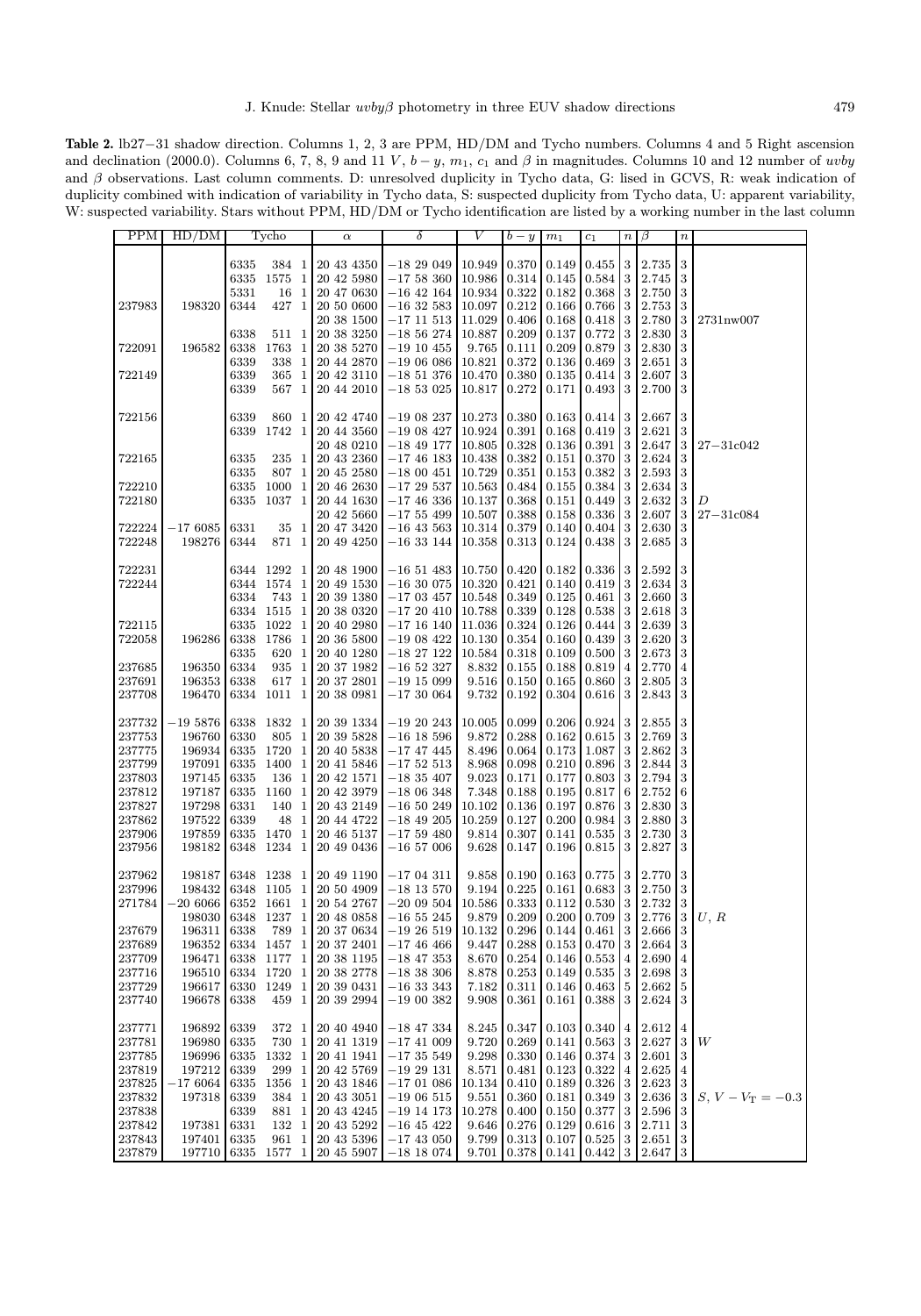Table 2. lb27−31 shadow direction. Columns 1, 2, 3 are PPM, HD/DM and Tycho numbers. Columns 4 and 5 Right ascension and declination (2000.0). Columns 6, 7, 8, 9 and 11 V,  $b - y$ ,  $m_1$ ,  $c_1$  and  $\beta$  in magnitudes. Columns 10 and 12 number of uvby and  $\beta$  observations. Last column comments. D: unresolved duplicity in Tycho data, G: lised in GCVS, R: weak indication of duplicity combined with indication of variability in Tycho data, S: suspected duplicity from Tycho data, U: apparent variability, W: suspected variability. Stars without PPM, HD/DM or Tycho identification are listed by a working number in the last column

| $\sqrt{3}$<br>$0.455 \mid 3$<br>2.735<br>6335<br>384 1<br>20 43 4350<br>$-1829049$<br>10.949<br>0.370<br>0.149<br>$\boldsymbol{3}$<br>$0.584$ 3<br>6335<br>1575 1<br>20 42 5980<br>$-1758360$<br>10.986<br>0.314<br>0.145<br>2.745<br>3<br>5331<br>0.322<br>$0.368$ 3<br>2.750<br>16 1<br>20 47 0630<br>$-16$ 42 164<br>10.934<br>0.182<br>$\boldsymbol{3}$<br>427 1<br>$0.766$   3<br>2.753<br>237983<br>198320<br>6344<br>20 50 0600<br>$-16\;32\;583$<br>10.097<br>0.212<br>0.166<br>$20\ 38\ 1500$<br>$0.418$ 3<br>2.780<br>3<br>$-17\;11\;513$<br>11.029<br>0.406<br>0.168<br>2731nw007<br>$\boldsymbol{3}$<br>0.772<br>3<br>2.830<br>6338<br>511 1<br>20 38 3250<br>$-18\ 56\ 274$<br>10.887<br>0.209<br>0.137<br>$\boldsymbol{3}$<br>196582<br>0.111<br>$0.879$ 3<br>2.830<br>722091<br>6338<br>1763 1<br>20 38 5270<br>$-19\;10\;455$<br>9.765<br>0.209<br>3<br>$0.469$ 3<br>2.651<br>6339<br>338 1<br>20 44 2870<br>$-1906086$<br>10.821<br>0.372<br>0.136<br>3<br>722149<br>6339<br>365 1<br>20 42 3110<br>$-1851376$<br>0.380<br>$0.414 \,   \, 3$<br>2.607<br>10.470<br>0.135<br>3<br>$0.493 \mid 3$<br>2.700<br>6339<br>567 1<br>20 44 2010<br>$-1853025$<br>10.817<br>0.272<br>0.171<br>10.273<br>0.380<br>2.667<br>3<br>722156<br>6339<br>860 1<br>20 42 4740<br>$-19\;08\;237$<br>0.163<br>0.414<br>-3<br>$\sqrt{3}$<br>0.391<br>$0.419$ 3<br>2.621<br>6339<br>1742 1<br>20 44 3560<br>$-19\;08\;427$<br>10.924<br>0.168<br>0.328<br>$0.391$   3<br>2.647<br>3<br>20 48 0210<br>$-18$ 49 177<br>10.805<br>0.136<br>$27 - 31c042$<br>2.624<br>$\sqrt{3}$<br>6335<br>235 1<br>20 43 2360<br>0.382<br>$0.370$ 3<br>722165<br>$-17\;46\;183$<br>10.438<br>0.151<br>3<br>807 1<br>10.729<br>0.351<br>$0.382 \,   \, 3$<br>2.593<br>6335<br>20 45 2580<br>$-1800451$<br>0.153<br>$0.384$ 3<br>$\sqrt{3}$<br>722210<br>$-1729537$<br>0.484<br>2.634<br>6335<br>1000 1<br>20 46 2630<br>10.563<br>0.155<br>6335<br>1037 1<br>$-1746336$<br>0.368<br>$0.449 \,   \, 3$<br>2.632<br>3<br>722180<br>20 44 1630<br>10.137<br>0.151<br>D<br>0.388<br>$0.336$ 3<br>2.607<br>20 42 5660<br>$-17$ 55 499<br>10.507<br>0.158<br>3<br>$27 - 31c084$<br>722224<br>$-17\ 6085$<br>$-16$ 43 563<br>10.314<br>0.379<br>$0.404 \,   \, 3$<br>2.630<br>3<br>6331<br>35 1<br>20 47 3420<br>0.140<br>3<br>722248<br>198276<br>871 1<br>20 49 4250<br>$-1633144$<br>10.358<br>0.313<br>$0.438 \mid 3$<br>2.685<br>6344<br>0.124<br>3<br>722231<br>6344 1292 1<br>$-1651483$<br>0.420<br>0.182<br>0.336   3<br>2.592<br>20 48 1900<br>10.750<br>3<br>722244<br>$-16\ 30\ 075$<br>10.320<br>$0.419$ 3<br>2.634<br>6344 1574 1<br>20 49 1530<br>0.421<br>0.140<br>3<br>6334<br>743 1<br>20 39 1380<br>$-17$ 03 457<br>10.548<br>0.349<br>0.125<br>$0.461$ 3<br>2.660<br>$\sqrt{3}$<br>6334 1515 1<br>$-1720410$<br>10.788<br>0.339<br>0.128<br>$0.538 \,   \, 3$<br>2.618<br>20 38 0320<br>2.639<br>3<br>722115<br>6335 1022 1<br>20 40 2980<br>$-17$ 16 140<br>11.036<br>0.324<br>0.126<br>$0.444 \,   \, 3$<br>$\sqrt{3}$<br>722058<br>196286<br>6338<br>1786 1<br>20 36 5800<br>$-1908422$<br>10.130<br>0.354<br>0.439 <sup>3</sup><br>2.620<br>0.160<br>6335<br>620 1<br>$-1827122$<br>10.584<br>0.318<br>0.109<br>$0.500 \,   \, 3$<br>2.673<br>3<br>20 40 1280<br>237685<br>196350<br>6334<br>935 1<br>$-16$ 52 327<br>8.832<br>0.155<br>$0.819$ 4<br>2.770<br>20 37 1982<br>0.188<br>4<br>237691<br>196353<br>6338<br>617 1<br>20 37 2801<br>$-19$ 15 099<br>9.516<br>0.150<br>0.165<br>$0.860$ 3<br>2.805<br>3<br>3<br>237708<br>6334 1011 1<br>$-17\;30\;064$<br>9.732<br>0.192<br>0.304<br>2.843<br>196470<br>20 38 0981<br>$0.616 \,   \, 3$<br>237732<br>$-19\,5876$<br>6338 1832 1<br>0.099<br>0.206<br>$0.924$ 3<br>2.855<br>3<br>20 39 1334<br>$-19\;20\;243$<br>10.005<br>0.288<br>237753<br>196760<br>6330<br>805 1<br>20 39 5828<br>$-16$ 18 596<br>9.872<br>0.162<br>$0.615$ 3<br>2.769<br>3<br>237775<br>196934<br>6335 1720 1<br>8.496<br>0.064<br>$1.087$   3<br>2.862<br>3<br>20 40 5838<br>$-17\;47\;445$<br>0.173<br>3<br>237799<br>197091<br>6335<br>1400 1<br>20 41 5846<br>$-1752513$<br>8.968<br>0.098<br>0.210<br>$0.896$ 3<br>2.844<br>3<br>237803<br>197145<br>6335<br>136 1<br>20 42 1571<br>$-18\ 35\ 407$<br>9.023<br>0.171<br>$0.803 \,   \, 3$<br>2.794<br>0.177<br>2.752<br>237812<br>197187<br>6335<br>1160 1<br>20 42 3979<br>$-1806348$<br>7.348<br>0.188<br>0.195<br>0.817<br>6<br>6<br>237827<br>197298<br>6331<br>140 1<br>20 43 2149<br>$-16\ 50\ 249$<br>10.102<br>0.136<br>$0.876 \mid 3$<br>2.830<br>3<br>0.197<br>237862<br>197522<br>6339<br>48 1<br>20 44 4722<br>$-18$ 49 205<br>10.259<br>0.127<br>0.200<br>$0.984$ 3<br>2.880<br>3<br>3<br>237906<br>197859<br>6335 1470 1<br>20 46 5137<br>$-1759480$<br>9.814<br>0.307<br>$0.535 \mid 3$<br>2.730<br>0.141<br>6348 1234 1<br>2.827<br>3<br>237956<br>198182<br>20 49 0436<br>$-16\,57\,006$<br>9.628<br>0.147<br>0.196<br>$0.815$ 3<br>$2.770\,$<br>$\boldsymbol{3}$<br>6348 1238 1<br>$0.775 \mid 3$<br>237962<br>198187<br>20 49 1190<br>$-17$ 04 $311$<br>9.858<br>0.190<br>0.163<br>$\sqrt{3}$<br>237996<br>198432<br>6348 1105 1<br>20 50 4909<br>$-18$ 13 570<br>9.194<br>0.225<br>0.161<br>$0.683 \mid 3$<br>2.750<br>0.333<br>$0.530 \,   \, 3$<br>2.732<br>3<br>$-20\,6066$<br>6352 1661 1<br>10.586<br>0.112<br>271784<br>20 54 2767<br>$-2009504$<br>9.879 0.209 0.200 0.709 3 2.776 3 U, R<br>198030 6348 1237 1 20 48 0858<br>$-16\ 55\ 245$<br>2.666<br>196311<br>6338<br>789 1<br>20 37 0634<br>$-19\;26\;519$<br>10.132<br>0.296<br>$0.144 \mid 0.461 \mid$<br>3<br>237679<br>3<br>196352<br>6334 1457<br>0.288<br>$0.470$ 3<br>2.664<br>3<br>237689<br>$\mathbf{1}$<br>20 37 2401<br>$-17\;46\;466$<br>9.447<br>0.153<br>196471<br>6338 1177 1<br>20 38 1195<br>8.670<br>0.254<br>0.553<br>2.690<br>237709<br>$-18$ 47 353<br>0.146<br>4<br>4<br>2.698<br>$\sqrt{3}$<br>196510<br>6334 1720 1<br>20 38 2778<br>$-18$ 38 306<br>8.878<br>0.253<br>$0.535 \,   \, 3$<br>237716<br>0.149<br>1249 1<br>2.662<br>196617<br>6330<br>20 39 0431<br>$-16333343$<br>7.182<br>0.311<br>0.146<br>0.463 5<br>5<br>237729<br>$\sqrt{3}$<br>237740<br>196678<br>6338<br>459 1<br>20 39 2994<br>$-1900382$<br>9.908<br>0.361<br>$0.388$ 3<br>2.624<br>0.161<br>2.612<br>0.347<br>$0.340\,$<br>237771<br>196892<br>6339<br>372 1<br>20 40 4940<br>$-18$ 47 334<br>8.245<br>0.103<br>4<br>$\vert 4$<br>2.627<br>3<br>237781<br>196980<br>6335<br>730 1<br>$-17$ 41 009<br>9.720<br>0.269<br>0.563<br>3<br>W<br>20 41 1319<br>0.141<br>2.601<br>$\sqrt{3}$<br>237785<br>196996<br>6335<br>1332 1<br>20 41 1941<br>$-1735549$<br>9.298<br>0.330<br>0.146<br>$0.374$ 3<br>2.625<br>237819<br>197212<br>6339<br>299 1<br>20 42 5769<br>$-1929131$<br>0.123<br>0.322<br>8.571<br>0.481<br>4<br>4<br>$2.623 \mid 3$<br>237825<br>$-17\ 6064$<br>6335<br>1356 1<br>20 43 1846<br>$-1701086$<br>0.410<br>0.189<br>0.326<br>3<br>10.134<br>2.636<br>237832<br>197318<br>384 1<br>20 43 3051<br>$-19\;06\;515$<br>0.360<br>0.181<br>0.349<br>3<br>3<br>$S, V - V_T = -0.3$<br>6339<br>9.551<br>2.596<br>237838<br>6339<br>881 1<br>20 43 4245<br>$-19$ 14 173<br>10.278<br>0.400<br>0.377<br>3<br>3<br>0.150<br>2.711<br>$\boldsymbol{3}$<br>237842<br>6331<br>132 1<br>20 43 5292<br>$-16$ 45 422<br>0.276<br>0.129<br>0.616<br>$\overline{\mathbf{3}}$<br>197381<br>9.646<br>6335<br>20 43 5396<br>9.799<br>0.313<br>$0.525$ 3<br>$2.651 \,   \, 3$<br>237843<br>197401<br>961 1<br>$-17$ 43 050<br>0.107<br>2.647<br>$\sqrt{3}$<br>237879<br>6335<br>1577<br>$\mathbf{1}$<br>20 45 5907<br>$-18$ 18 074<br>0.442<br>3<br>197710<br>9.701<br>0.378<br>0.141 | <b>PPM</b> | HD/DM | Tycho | $\alpha$ | δ | V | $b - y$ | $m_1$ | $c_1$ | $n \mid \beta$ | $\, n$ |  |
|-----------------------------------------------------------------------------------------------------------------------------------------------------------------------------------------------------------------------------------------------------------------------------------------------------------------------------------------------------------------------------------------------------------------------------------------------------------------------------------------------------------------------------------------------------------------------------------------------------------------------------------------------------------------------------------------------------------------------------------------------------------------------------------------------------------------------------------------------------------------------------------------------------------------------------------------------------------------------------------------------------------------------------------------------------------------------------------------------------------------------------------------------------------------------------------------------------------------------------------------------------------------------------------------------------------------------------------------------------------------------------------------------------------------------------------------------------------------------------------------------------------------------------------------------------------------------------------------------------------------------------------------------------------------------------------------------------------------------------------------------------------------------------------------------------------------------------------------------------------------------------------------------------------------------------------------------------------------------------------------------------------------------------------------------------------------------------------------------------------------------------------------------------------------------------------------------------------------------------------------------------------------------------------------------------------------------------------------------------------------------------------------------------------------------------------------------------------------------------------------------------------------------------------------------------------------------------------------------------------------------------------------------------------------------------------------------------------------------------------------------------------------------------------------------------------------------------------------------------------------------------------------------------------------------------------------------------------------------------------------------------------------------------------------------------------------------------------------------------------------------------------------------------------------------------------------------------------------------------------------------------------------------------------------------------------------------------------------------------------------------------------------------------------------------------------------------------------------------------------------------------------------------------------------------------------------------------------------------------------------------------------------------------------------------------------------------------------------------------------------------------------------------------------------------------------------------------------------------------------------------------------------------------------------------------------------------------------------------------------------------------------------------------------------------------------------------------------------------------------------------------------------------------------------------------------------------------------------------------------------------------------------------------------------------------------------------------------------------------------------------------------------------------------------------------------------------------------------------------------------------------------------------------------------------------------------------------------------------------------------------------------------------------------------------------------------------------------------------------------------------------------------------------------------------------------------------------------------------------------------------------------------------------------------------------------------------------------------------------------------------------------------------------------------------------------------------------------------------------------------------------------------------------------------------------------------------------------------------------------------------------------------------------------------------------------------------------------------------------------------------------------------------------------------------------------------------------------------------------------------------------------------------------------------------------------------------------------------------------------------------------------------------------------------------------------------------------------------------------------------------------------------------------------------------------------------------------------------------------------------------------------------------------------------------------------------------------------------------------------------------------------------------------------------------------------------------------------------------------------------------------------------------------------------------------------------------------------------------------------------------------------------------------------------------------------------------------------------------------------------------------------------------------------------------------------------------------------------------------------------------------------------------------------------------------------------------------------------------------------------------------------------------------------------------------------------------------------------------------------------------------------------------------------------------------------------------------------------------------------------------------------------------------------------------------------------------------------------------------------------------------------------------------------------------------------------------------------------------------------------------------------------------------------------------------------------------------------------------------------------------------------------------------------------------------------------------------------------------------------------------------------------------------------------------------------------------------------------------------------------------------------------------------------------------------------------------------------------------------------------------------------------------|------------|-------|-------|----------|---|---|---------|-------|-------|----------------|--------|--|
|                                                                                                                                                                                                                                                                                                                                                                                                                                                                                                                                                                                                                                                                                                                                                                                                                                                                                                                                                                                                                                                                                                                                                                                                                                                                                                                                                                                                                                                                                                                                                                                                                                                                                                                                                                                                                                                                                                                                                                                                                                                                                                                                                                                                                                                                                                                                                                                                                                                                                                                                                                                                                                                                                                                                                                                                                                                                                                                                                                                                                                                                                                                                                                                                                                                                                                                                                                                                                                                                                                                                                                                                                                                                                                                                                                                                                                                                                                                                                                                                                                                                                                                                                                                                                                                                                                                                                                                                                                                                                                                                                                                                                                                                                                                                                                                                                                                                                                                                                                                                                                                                                                                                                                                                                                                                                                                                                                                                                                                                                                                                                                                                                                                                                                                                                                                                                                                                                                                                                                                                                                                                                                                                                                                                                                                                                                                                                                                                                                                                                                                                                                                                                                                                                                                                                                                                                                                                                                                                                                                                                                                                                                                                                                                                                                                                                                                                                                                                                                                                                                                                                                                                                                               |            |       |       |          |   |   |         |       |       |                |        |  |
|                                                                                                                                                                                                                                                                                                                                                                                                                                                                                                                                                                                                                                                                                                                                                                                                                                                                                                                                                                                                                                                                                                                                                                                                                                                                                                                                                                                                                                                                                                                                                                                                                                                                                                                                                                                                                                                                                                                                                                                                                                                                                                                                                                                                                                                                                                                                                                                                                                                                                                                                                                                                                                                                                                                                                                                                                                                                                                                                                                                                                                                                                                                                                                                                                                                                                                                                                                                                                                                                                                                                                                                                                                                                                                                                                                                                                                                                                                                                                                                                                                                                                                                                                                                                                                                                                                                                                                                                                                                                                                                                                                                                                                                                                                                                                                                                                                                                                                                                                                                                                                                                                                                                                                                                                                                                                                                                                                                                                                                                                                                                                                                                                                                                                                                                                                                                                                                                                                                                                                                                                                                                                                                                                                                                                                                                                                                                                                                                                                                                                                                                                                                                                                                                                                                                                                                                                                                                                                                                                                                                                                                                                                                                                                                                                                                                                                                                                                                                                                                                                                                                                                                                                                               |            |       |       |          |   |   |         |       |       |                |        |  |
|                                                                                                                                                                                                                                                                                                                                                                                                                                                                                                                                                                                                                                                                                                                                                                                                                                                                                                                                                                                                                                                                                                                                                                                                                                                                                                                                                                                                                                                                                                                                                                                                                                                                                                                                                                                                                                                                                                                                                                                                                                                                                                                                                                                                                                                                                                                                                                                                                                                                                                                                                                                                                                                                                                                                                                                                                                                                                                                                                                                                                                                                                                                                                                                                                                                                                                                                                                                                                                                                                                                                                                                                                                                                                                                                                                                                                                                                                                                                                                                                                                                                                                                                                                                                                                                                                                                                                                                                                                                                                                                                                                                                                                                                                                                                                                                                                                                                                                                                                                                                                                                                                                                                                                                                                                                                                                                                                                                                                                                                                                                                                                                                                                                                                                                                                                                                                                                                                                                                                                                                                                                                                                                                                                                                                                                                                                                                                                                                                                                                                                                                                                                                                                                                                                                                                                                                                                                                                                                                                                                                                                                                                                                                                                                                                                                                                                                                                                                                                                                                                                                                                                                                                                               |            |       |       |          |   |   |         |       |       |                |        |  |
|                                                                                                                                                                                                                                                                                                                                                                                                                                                                                                                                                                                                                                                                                                                                                                                                                                                                                                                                                                                                                                                                                                                                                                                                                                                                                                                                                                                                                                                                                                                                                                                                                                                                                                                                                                                                                                                                                                                                                                                                                                                                                                                                                                                                                                                                                                                                                                                                                                                                                                                                                                                                                                                                                                                                                                                                                                                                                                                                                                                                                                                                                                                                                                                                                                                                                                                                                                                                                                                                                                                                                                                                                                                                                                                                                                                                                                                                                                                                                                                                                                                                                                                                                                                                                                                                                                                                                                                                                                                                                                                                                                                                                                                                                                                                                                                                                                                                                                                                                                                                                                                                                                                                                                                                                                                                                                                                                                                                                                                                                                                                                                                                                                                                                                                                                                                                                                                                                                                                                                                                                                                                                                                                                                                                                                                                                                                                                                                                                                                                                                                                                                                                                                                                                                                                                                                                                                                                                                                                                                                                                                                                                                                                                                                                                                                                                                                                                                                                                                                                                                                                                                                                                                               |            |       |       |          |   |   |         |       |       |                |        |  |
|                                                                                                                                                                                                                                                                                                                                                                                                                                                                                                                                                                                                                                                                                                                                                                                                                                                                                                                                                                                                                                                                                                                                                                                                                                                                                                                                                                                                                                                                                                                                                                                                                                                                                                                                                                                                                                                                                                                                                                                                                                                                                                                                                                                                                                                                                                                                                                                                                                                                                                                                                                                                                                                                                                                                                                                                                                                                                                                                                                                                                                                                                                                                                                                                                                                                                                                                                                                                                                                                                                                                                                                                                                                                                                                                                                                                                                                                                                                                                                                                                                                                                                                                                                                                                                                                                                                                                                                                                                                                                                                                                                                                                                                                                                                                                                                                                                                                                                                                                                                                                                                                                                                                                                                                                                                                                                                                                                                                                                                                                                                                                                                                                                                                                                                                                                                                                                                                                                                                                                                                                                                                                                                                                                                                                                                                                                                                                                                                                                                                                                                                                                                                                                                                                                                                                                                                                                                                                                                                                                                                                                                                                                                                                                                                                                                                                                                                                                                                                                                                                                                                                                                                                                               |            |       |       |          |   |   |         |       |       |                |        |  |
|                                                                                                                                                                                                                                                                                                                                                                                                                                                                                                                                                                                                                                                                                                                                                                                                                                                                                                                                                                                                                                                                                                                                                                                                                                                                                                                                                                                                                                                                                                                                                                                                                                                                                                                                                                                                                                                                                                                                                                                                                                                                                                                                                                                                                                                                                                                                                                                                                                                                                                                                                                                                                                                                                                                                                                                                                                                                                                                                                                                                                                                                                                                                                                                                                                                                                                                                                                                                                                                                                                                                                                                                                                                                                                                                                                                                                                                                                                                                                                                                                                                                                                                                                                                                                                                                                                                                                                                                                                                                                                                                                                                                                                                                                                                                                                                                                                                                                                                                                                                                                                                                                                                                                                                                                                                                                                                                                                                                                                                                                                                                                                                                                                                                                                                                                                                                                                                                                                                                                                                                                                                                                                                                                                                                                                                                                                                                                                                                                                                                                                                                                                                                                                                                                                                                                                                                                                                                                                                                                                                                                                                                                                                                                                                                                                                                                                                                                                                                                                                                                                                                                                                                                                               |            |       |       |          |   |   |         |       |       |                |        |  |
|                                                                                                                                                                                                                                                                                                                                                                                                                                                                                                                                                                                                                                                                                                                                                                                                                                                                                                                                                                                                                                                                                                                                                                                                                                                                                                                                                                                                                                                                                                                                                                                                                                                                                                                                                                                                                                                                                                                                                                                                                                                                                                                                                                                                                                                                                                                                                                                                                                                                                                                                                                                                                                                                                                                                                                                                                                                                                                                                                                                                                                                                                                                                                                                                                                                                                                                                                                                                                                                                                                                                                                                                                                                                                                                                                                                                                                                                                                                                                                                                                                                                                                                                                                                                                                                                                                                                                                                                                                                                                                                                                                                                                                                                                                                                                                                                                                                                                                                                                                                                                                                                                                                                                                                                                                                                                                                                                                                                                                                                                                                                                                                                                                                                                                                                                                                                                                                                                                                                                                                                                                                                                                                                                                                                                                                                                                                                                                                                                                                                                                                                                                                                                                                                                                                                                                                                                                                                                                                                                                                                                                                                                                                                                                                                                                                                                                                                                                                                                                                                                                                                                                                                                                               |            |       |       |          |   |   |         |       |       |                |        |  |
|                                                                                                                                                                                                                                                                                                                                                                                                                                                                                                                                                                                                                                                                                                                                                                                                                                                                                                                                                                                                                                                                                                                                                                                                                                                                                                                                                                                                                                                                                                                                                                                                                                                                                                                                                                                                                                                                                                                                                                                                                                                                                                                                                                                                                                                                                                                                                                                                                                                                                                                                                                                                                                                                                                                                                                                                                                                                                                                                                                                                                                                                                                                                                                                                                                                                                                                                                                                                                                                                                                                                                                                                                                                                                                                                                                                                                                                                                                                                                                                                                                                                                                                                                                                                                                                                                                                                                                                                                                                                                                                                                                                                                                                                                                                                                                                                                                                                                                                                                                                                                                                                                                                                                                                                                                                                                                                                                                                                                                                                                                                                                                                                                                                                                                                                                                                                                                                                                                                                                                                                                                                                                                                                                                                                                                                                                                                                                                                                                                                                                                                                                                                                                                                                                                                                                                                                                                                                                                                                                                                                                                                                                                                                                                                                                                                                                                                                                                                                                                                                                                                                                                                                                                               |            |       |       |          |   |   |         |       |       |                |        |  |
|                                                                                                                                                                                                                                                                                                                                                                                                                                                                                                                                                                                                                                                                                                                                                                                                                                                                                                                                                                                                                                                                                                                                                                                                                                                                                                                                                                                                                                                                                                                                                                                                                                                                                                                                                                                                                                                                                                                                                                                                                                                                                                                                                                                                                                                                                                                                                                                                                                                                                                                                                                                                                                                                                                                                                                                                                                                                                                                                                                                                                                                                                                                                                                                                                                                                                                                                                                                                                                                                                                                                                                                                                                                                                                                                                                                                                                                                                                                                                                                                                                                                                                                                                                                                                                                                                                                                                                                                                                                                                                                                                                                                                                                                                                                                                                                                                                                                                                                                                                                                                                                                                                                                                                                                                                                                                                                                                                                                                                                                                                                                                                                                                                                                                                                                                                                                                                                                                                                                                                                                                                                                                                                                                                                                                                                                                                                                                                                                                                                                                                                                                                                                                                                                                                                                                                                                                                                                                                                                                                                                                                                                                                                                                                                                                                                                                                                                                                                                                                                                                                                                                                                                                                               |            |       |       |          |   |   |         |       |       |                |        |  |
|                                                                                                                                                                                                                                                                                                                                                                                                                                                                                                                                                                                                                                                                                                                                                                                                                                                                                                                                                                                                                                                                                                                                                                                                                                                                                                                                                                                                                                                                                                                                                                                                                                                                                                                                                                                                                                                                                                                                                                                                                                                                                                                                                                                                                                                                                                                                                                                                                                                                                                                                                                                                                                                                                                                                                                                                                                                                                                                                                                                                                                                                                                                                                                                                                                                                                                                                                                                                                                                                                                                                                                                                                                                                                                                                                                                                                                                                                                                                                                                                                                                                                                                                                                                                                                                                                                                                                                                                                                                                                                                                                                                                                                                                                                                                                                                                                                                                                                                                                                                                                                                                                                                                                                                                                                                                                                                                                                                                                                                                                                                                                                                                                                                                                                                                                                                                                                                                                                                                                                                                                                                                                                                                                                                                                                                                                                                                                                                                                                                                                                                                                                                                                                                                                                                                                                                                                                                                                                                                                                                                                                                                                                                                                                                                                                                                                                                                                                                                                                                                                                                                                                                                                                               |            |       |       |          |   |   |         |       |       |                |        |  |
|                                                                                                                                                                                                                                                                                                                                                                                                                                                                                                                                                                                                                                                                                                                                                                                                                                                                                                                                                                                                                                                                                                                                                                                                                                                                                                                                                                                                                                                                                                                                                                                                                                                                                                                                                                                                                                                                                                                                                                                                                                                                                                                                                                                                                                                                                                                                                                                                                                                                                                                                                                                                                                                                                                                                                                                                                                                                                                                                                                                                                                                                                                                                                                                                                                                                                                                                                                                                                                                                                                                                                                                                                                                                                                                                                                                                                                                                                                                                                                                                                                                                                                                                                                                                                                                                                                                                                                                                                                                                                                                                                                                                                                                                                                                                                                                                                                                                                                                                                                                                                                                                                                                                                                                                                                                                                                                                                                                                                                                                                                                                                                                                                                                                                                                                                                                                                                                                                                                                                                                                                                                                                                                                                                                                                                                                                                                                                                                                                                                                                                                                                                                                                                                                                                                                                                                                                                                                                                                                                                                                                                                                                                                                                                                                                                                                                                                                                                                                                                                                                                                                                                                                                                               |            |       |       |          |   |   |         |       |       |                |        |  |
|                                                                                                                                                                                                                                                                                                                                                                                                                                                                                                                                                                                                                                                                                                                                                                                                                                                                                                                                                                                                                                                                                                                                                                                                                                                                                                                                                                                                                                                                                                                                                                                                                                                                                                                                                                                                                                                                                                                                                                                                                                                                                                                                                                                                                                                                                                                                                                                                                                                                                                                                                                                                                                                                                                                                                                                                                                                                                                                                                                                                                                                                                                                                                                                                                                                                                                                                                                                                                                                                                                                                                                                                                                                                                                                                                                                                                                                                                                                                                                                                                                                                                                                                                                                                                                                                                                                                                                                                                                                                                                                                                                                                                                                                                                                                                                                                                                                                                                                                                                                                                                                                                                                                                                                                                                                                                                                                                                                                                                                                                                                                                                                                                                                                                                                                                                                                                                                                                                                                                                                                                                                                                                                                                                                                                                                                                                                                                                                                                                                                                                                                                                                                                                                                                                                                                                                                                                                                                                                                                                                                                                                                                                                                                                                                                                                                                                                                                                                                                                                                                                                                                                                                                                               |            |       |       |          |   |   |         |       |       |                |        |  |
|                                                                                                                                                                                                                                                                                                                                                                                                                                                                                                                                                                                                                                                                                                                                                                                                                                                                                                                                                                                                                                                                                                                                                                                                                                                                                                                                                                                                                                                                                                                                                                                                                                                                                                                                                                                                                                                                                                                                                                                                                                                                                                                                                                                                                                                                                                                                                                                                                                                                                                                                                                                                                                                                                                                                                                                                                                                                                                                                                                                                                                                                                                                                                                                                                                                                                                                                                                                                                                                                                                                                                                                                                                                                                                                                                                                                                                                                                                                                                                                                                                                                                                                                                                                                                                                                                                                                                                                                                                                                                                                                                                                                                                                                                                                                                                                                                                                                                                                                                                                                                                                                                                                                                                                                                                                                                                                                                                                                                                                                                                                                                                                                                                                                                                                                                                                                                                                                                                                                                                                                                                                                                                                                                                                                                                                                                                                                                                                                                                                                                                                                                                                                                                                                                                                                                                                                                                                                                                                                                                                                                                                                                                                                                                                                                                                                                                                                                                                                                                                                                                                                                                                                                                               |            |       |       |          |   |   |         |       |       |                |        |  |
|                                                                                                                                                                                                                                                                                                                                                                                                                                                                                                                                                                                                                                                                                                                                                                                                                                                                                                                                                                                                                                                                                                                                                                                                                                                                                                                                                                                                                                                                                                                                                                                                                                                                                                                                                                                                                                                                                                                                                                                                                                                                                                                                                                                                                                                                                                                                                                                                                                                                                                                                                                                                                                                                                                                                                                                                                                                                                                                                                                                                                                                                                                                                                                                                                                                                                                                                                                                                                                                                                                                                                                                                                                                                                                                                                                                                                                                                                                                                                                                                                                                                                                                                                                                                                                                                                                                                                                                                                                                                                                                                                                                                                                                                                                                                                                                                                                                                                                                                                                                                                                                                                                                                                                                                                                                                                                                                                                                                                                                                                                                                                                                                                                                                                                                                                                                                                                                                                                                                                                                                                                                                                                                                                                                                                                                                                                                                                                                                                                                                                                                                                                                                                                                                                                                                                                                                                                                                                                                                                                                                                                                                                                                                                                                                                                                                                                                                                                                                                                                                                                                                                                                                                                               |            |       |       |          |   |   |         |       |       |                |        |  |
|                                                                                                                                                                                                                                                                                                                                                                                                                                                                                                                                                                                                                                                                                                                                                                                                                                                                                                                                                                                                                                                                                                                                                                                                                                                                                                                                                                                                                                                                                                                                                                                                                                                                                                                                                                                                                                                                                                                                                                                                                                                                                                                                                                                                                                                                                                                                                                                                                                                                                                                                                                                                                                                                                                                                                                                                                                                                                                                                                                                                                                                                                                                                                                                                                                                                                                                                                                                                                                                                                                                                                                                                                                                                                                                                                                                                                                                                                                                                                                                                                                                                                                                                                                                                                                                                                                                                                                                                                                                                                                                                                                                                                                                                                                                                                                                                                                                                                                                                                                                                                                                                                                                                                                                                                                                                                                                                                                                                                                                                                                                                                                                                                                                                                                                                                                                                                                                                                                                                                                                                                                                                                                                                                                                                                                                                                                                                                                                                                                                                                                                                                                                                                                                                                                                                                                                                                                                                                                                                                                                                                                                                                                                                                                                                                                                                                                                                                                                                                                                                                                                                                                                                                                               |            |       |       |          |   |   |         |       |       |                |        |  |
|                                                                                                                                                                                                                                                                                                                                                                                                                                                                                                                                                                                                                                                                                                                                                                                                                                                                                                                                                                                                                                                                                                                                                                                                                                                                                                                                                                                                                                                                                                                                                                                                                                                                                                                                                                                                                                                                                                                                                                                                                                                                                                                                                                                                                                                                                                                                                                                                                                                                                                                                                                                                                                                                                                                                                                                                                                                                                                                                                                                                                                                                                                                                                                                                                                                                                                                                                                                                                                                                                                                                                                                                                                                                                                                                                                                                                                                                                                                                                                                                                                                                                                                                                                                                                                                                                                                                                                                                                                                                                                                                                                                                                                                                                                                                                                                                                                                                                                                                                                                                                                                                                                                                                                                                                                                                                                                                                                                                                                                                                                                                                                                                                                                                                                                                                                                                                                                                                                                                                                                                                                                                                                                                                                                                                                                                                                                                                                                                                                                                                                                                                                                                                                                                                                                                                                                                                                                                                                                                                                                                                                                                                                                                                                                                                                                                                                                                                                                                                                                                                                                                                                                                                                               |            |       |       |          |   |   |         |       |       |                |        |  |
|                                                                                                                                                                                                                                                                                                                                                                                                                                                                                                                                                                                                                                                                                                                                                                                                                                                                                                                                                                                                                                                                                                                                                                                                                                                                                                                                                                                                                                                                                                                                                                                                                                                                                                                                                                                                                                                                                                                                                                                                                                                                                                                                                                                                                                                                                                                                                                                                                                                                                                                                                                                                                                                                                                                                                                                                                                                                                                                                                                                                                                                                                                                                                                                                                                                                                                                                                                                                                                                                                                                                                                                                                                                                                                                                                                                                                                                                                                                                                                                                                                                                                                                                                                                                                                                                                                                                                                                                                                                                                                                                                                                                                                                                                                                                                                                                                                                                                                                                                                                                                                                                                                                                                                                                                                                                                                                                                                                                                                                                                                                                                                                                                                                                                                                                                                                                                                                                                                                                                                                                                                                                                                                                                                                                                                                                                                                                                                                                                                                                                                                                                                                                                                                                                                                                                                                                                                                                                                                                                                                                                                                                                                                                                                                                                                                                                                                                                                                                                                                                                                                                                                                                                                               |            |       |       |          |   |   |         |       |       |                |        |  |
|                                                                                                                                                                                                                                                                                                                                                                                                                                                                                                                                                                                                                                                                                                                                                                                                                                                                                                                                                                                                                                                                                                                                                                                                                                                                                                                                                                                                                                                                                                                                                                                                                                                                                                                                                                                                                                                                                                                                                                                                                                                                                                                                                                                                                                                                                                                                                                                                                                                                                                                                                                                                                                                                                                                                                                                                                                                                                                                                                                                                                                                                                                                                                                                                                                                                                                                                                                                                                                                                                                                                                                                                                                                                                                                                                                                                                                                                                                                                                                                                                                                                                                                                                                                                                                                                                                                                                                                                                                                                                                                                                                                                                                                                                                                                                                                                                                                                                                                                                                                                                                                                                                                                                                                                                                                                                                                                                                                                                                                                                                                                                                                                                                                                                                                                                                                                                                                                                                                                                                                                                                                                                                                                                                                                                                                                                                                                                                                                                                                                                                                                                                                                                                                                                                                                                                                                                                                                                                                                                                                                                                                                                                                                                                                                                                                                                                                                                                                                                                                                                                                                                                                                                                               |            |       |       |          |   |   |         |       |       |                |        |  |
|                                                                                                                                                                                                                                                                                                                                                                                                                                                                                                                                                                                                                                                                                                                                                                                                                                                                                                                                                                                                                                                                                                                                                                                                                                                                                                                                                                                                                                                                                                                                                                                                                                                                                                                                                                                                                                                                                                                                                                                                                                                                                                                                                                                                                                                                                                                                                                                                                                                                                                                                                                                                                                                                                                                                                                                                                                                                                                                                                                                                                                                                                                                                                                                                                                                                                                                                                                                                                                                                                                                                                                                                                                                                                                                                                                                                                                                                                                                                                                                                                                                                                                                                                                                                                                                                                                                                                                                                                                                                                                                                                                                                                                                                                                                                                                                                                                                                                                                                                                                                                                                                                                                                                                                                                                                                                                                                                                                                                                                                                                                                                                                                                                                                                                                                                                                                                                                                                                                                                                                                                                                                                                                                                                                                                                                                                                                                                                                                                                                                                                                                                                                                                                                                                                                                                                                                                                                                                                                                                                                                                                                                                                                                                                                                                                                                                                                                                                                                                                                                                                                                                                                                                                               |            |       |       |          |   |   |         |       |       |                |        |  |
|                                                                                                                                                                                                                                                                                                                                                                                                                                                                                                                                                                                                                                                                                                                                                                                                                                                                                                                                                                                                                                                                                                                                                                                                                                                                                                                                                                                                                                                                                                                                                                                                                                                                                                                                                                                                                                                                                                                                                                                                                                                                                                                                                                                                                                                                                                                                                                                                                                                                                                                                                                                                                                                                                                                                                                                                                                                                                                                                                                                                                                                                                                                                                                                                                                                                                                                                                                                                                                                                                                                                                                                                                                                                                                                                                                                                                                                                                                                                                                                                                                                                                                                                                                                                                                                                                                                                                                                                                                                                                                                                                                                                                                                                                                                                                                                                                                                                                                                                                                                                                                                                                                                                                                                                                                                                                                                                                                                                                                                                                                                                                                                                                                                                                                                                                                                                                                                                                                                                                                                                                                                                                                                                                                                                                                                                                                                                                                                                                                                                                                                                                                                                                                                                                                                                                                                                                                                                                                                                                                                                                                                                                                                                                                                                                                                                                                                                                                                                                                                                                                                                                                                                                                               |            |       |       |          |   |   |         |       |       |                |        |  |
|                                                                                                                                                                                                                                                                                                                                                                                                                                                                                                                                                                                                                                                                                                                                                                                                                                                                                                                                                                                                                                                                                                                                                                                                                                                                                                                                                                                                                                                                                                                                                                                                                                                                                                                                                                                                                                                                                                                                                                                                                                                                                                                                                                                                                                                                                                                                                                                                                                                                                                                                                                                                                                                                                                                                                                                                                                                                                                                                                                                                                                                                                                                                                                                                                                                                                                                                                                                                                                                                                                                                                                                                                                                                                                                                                                                                                                                                                                                                                                                                                                                                                                                                                                                                                                                                                                                                                                                                                                                                                                                                                                                                                                                                                                                                                                                                                                                                                                                                                                                                                                                                                                                                                                                                                                                                                                                                                                                                                                                                                                                                                                                                                                                                                                                                                                                                                                                                                                                                                                                                                                                                                                                                                                                                                                                                                                                                                                                                                                                                                                                                                                                                                                                                                                                                                                                                                                                                                                                                                                                                                                                                                                                                                                                                                                                                                                                                                                                                                                                                                                                                                                                                                                               |            |       |       |          |   |   |         |       |       |                |        |  |
|                                                                                                                                                                                                                                                                                                                                                                                                                                                                                                                                                                                                                                                                                                                                                                                                                                                                                                                                                                                                                                                                                                                                                                                                                                                                                                                                                                                                                                                                                                                                                                                                                                                                                                                                                                                                                                                                                                                                                                                                                                                                                                                                                                                                                                                                                                                                                                                                                                                                                                                                                                                                                                                                                                                                                                                                                                                                                                                                                                                                                                                                                                                                                                                                                                                                                                                                                                                                                                                                                                                                                                                                                                                                                                                                                                                                                                                                                                                                                                                                                                                                                                                                                                                                                                                                                                                                                                                                                                                                                                                                                                                                                                                                                                                                                                                                                                                                                                                                                                                                                                                                                                                                                                                                                                                                                                                                                                                                                                                                                                                                                                                                                                                                                                                                                                                                                                                                                                                                                                                                                                                                                                                                                                                                                                                                                                                                                                                                                                                                                                                                                                                                                                                                                                                                                                                                                                                                                                                                                                                                                                                                                                                                                                                                                                                                                                                                                                                                                                                                                                                                                                                                                                               |            |       |       |          |   |   |         |       |       |                |        |  |
|                                                                                                                                                                                                                                                                                                                                                                                                                                                                                                                                                                                                                                                                                                                                                                                                                                                                                                                                                                                                                                                                                                                                                                                                                                                                                                                                                                                                                                                                                                                                                                                                                                                                                                                                                                                                                                                                                                                                                                                                                                                                                                                                                                                                                                                                                                                                                                                                                                                                                                                                                                                                                                                                                                                                                                                                                                                                                                                                                                                                                                                                                                                                                                                                                                                                                                                                                                                                                                                                                                                                                                                                                                                                                                                                                                                                                                                                                                                                                                                                                                                                                                                                                                                                                                                                                                                                                                                                                                                                                                                                                                                                                                                                                                                                                                                                                                                                                                                                                                                                                                                                                                                                                                                                                                                                                                                                                                                                                                                                                                                                                                                                                                                                                                                                                                                                                                                                                                                                                                                                                                                                                                                                                                                                                                                                                                                                                                                                                                                                                                                                                                                                                                                                                                                                                                                                                                                                                                                                                                                                                                                                                                                                                                                                                                                                                                                                                                                                                                                                                                                                                                                                                                               |            |       |       |          |   |   |         |       |       |                |        |  |
|                                                                                                                                                                                                                                                                                                                                                                                                                                                                                                                                                                                                                                                                                                                                                                                                                                                                                                                                                                                                                                                                                                                                                                                                                                                                                                                                                                                                                                                                                                                                                                                                                                                                                                                                                                                                                                                                                                                                                                                                                                                                                                                                                                                                                                                                                                                                                                                                                                                                                                                                                                                                                                                                                                                                                                                                                                                                                                                                                                                                                                                                                                                                                                                                                                                                                                                                                                                                                                                                                                                                                                                                                                                                                                                                                                                                                                                                                                                                                                                                                                                                                                                                                                                                                                                                                                                                                                                                                                                                                                                                                                                                                                                                                                                                                                                                                                                                                                                                                                                                                                                                                                                                                                                                                                                                                                                                                                                                                                                                                                                                                                                                                                                                                                                                                                                                                                                                                                                                                                                                                                                                                                                                                                                                                                                                                                                                                                                                                                                                                                                                                                                                                                                                                                                                                                                                                                                                                                                                                                                                                                                                                                                                                                                                                                                                                                                                                                                                                                                                                                                                                                                                                                               |            |       |       |          |   |   |         |       |       |                |        |  |
|                                                                                                                                                                                                                                                                                                                                                                                                                                                                                                                                                                                                                                                                                                                                                                                                                                                                                                                                                                                                                                                                                                                                                                                                                                                                                                                                                                                                                                                                                                                                                                                                                                                                                                                                                                                                                                                                                                                                                                                                                                                                                                                                                                                                                                                                                                                                                                                                                                                                                                                                                                                                                                                                                                                                                                                                                                                                                                                                                                                                                                                                                                                                                                                                                                                                                                                                                                                                                                                                                                                                                                                                                                                                                                                                                                                                                                                                                                                                                                                                                                                                                                                                                                                                                                                                                                                                                                                                                                                                                                                                                                                                                                                                                                                                                                                                                                                                                                                                                                                                                                                                                                                                                                                                                                                                                                                                                                                                                                                                                                                                                                                                                                                                                                                                                                                                                                                                                                                                                                                                                                                                                                                                                                                                                                                                                                                                                                                                                                                                                                                                                                                                                                                                                                                                                                                                                                                                                                                                                                                                                                                                                                                                                                                                                                                                                                                                                                                                                                                                                                                                                                                                                                               |            |       |       |          |   |   |         |       |       |                |        |  |
|                                                                                                                                                                                                                                                                                                                                                                                                                                                                                                                                                                                                                                                                                                                                                                                                                                                                                                                                                                                                                                                                                                                                                                                                                                                                                                                                                                                                                                                                                                                                                                                                                                                                                                                                                                                                                                                                                                                                                                                                                                                                                                                                                                                                                                                                                                                                                                                                                                                                                                                                                                                                                                                                                                                                                                                                                                                                                                                                                                                                                                                                                                                                                                                                                                                                                                                                                                                                                                                                                                                                                                                                                                                                                                                                                                                                                                                                                                                                                                                                                                                                                                                                                                                                                                                                                                                                                                                                                                                                                                                                                                                                                                                                                                                                                                                                                                                                                                                                                                                                                                                                                                                                                                                                                                                                                                                                                                                                                                                                                                                                                                                                                                                                                                                                                                                                                                                                                                                                                                                                                                                                                                                                                                                                                                                                                                                                                                                                                                                                                                                                                                                                                                                                                                                                                                                                                                                                                                                                                                                                                                                                                                                                                                                                                                                                                                                                                                                                                                                                                                                                                                                                                                               |            |       |       |          |   |   |         |       |       |                |        |  |
|                                                                                                                                                                                                                                                                                                                                                                                                                                                                                                                                                                                                                                                                                                                                                                                                                                                                                                                                                                                                                                                                                                                                                                                                                                                                                                                                                                                                                                                                                                                                                                                                                                                                                                                                                                                                                                                                                                                                                                                                                                                                                                                                                                                                                                                                                                                                                                                                                                                                                                                                                                                                                                                                                                                                                                                                                                                                                                                                                                                                                                                                                                                                                                                                                                                                                                                                                                                                                                                                                                                                                                                                                                                                                                                                                                                                                                                                                                                                                                                                                                                                                                                                                                                                                                                                                                                                                                                                                                                                                                                                                                                                                                                                                                                                                                                                                                                                                                                                                                                                                                                                                                                                                                                                                                                                                                                                                                                                                                                                                                                                                                                                                                                                                                                                                                                                                                                                                                                                                                                                                                                                                                                                                                                                                                                                                                                                                                                                                                                                                                                                                                                                                                                                                                                                                                                                                                                                                                                                                                                                                                                                                                                                                                                                                                                                                                                                                                                                                                                                                                                                                                                                                                               |            |       |       |          |   |   |         |       |       |                |        |  |
|                                                                                                                                                                                                                                                                                                                                                                                                                                                                                                                                                                                                                                                                                                                                                                                                                                                                                                                                                                                                                                                                                                                                                                                                                                                                                                                                                                                                                                                                                                                                                                                                                                                                                                                                                                                                                                                                                                                                                                                                                                                                                                                                                                                                                                                                                                                                                                                                                                                                                                                                                                                                                                                                                                                                                                                                                                                                                                                                                                                                                                                                                                                                                                                                                                                                                                                                                                                                                                                                                                                                                                                                                                                                                                                                                                                                                                                                                                                                                                                                                                                                                                                                                                                                                                                                                                                                                                                                                                                                                                                                                                                                                                                                                                                                                                                                                                                                                                                                                                                                                                                                                                                                                                                                                                                                                                                                                                                                                                                                                                                                                                                                                                                                                                                                                                                                                                                                                                                                                                                                                                                                                                                                                                                                                                                                                                                                                                                                                                                                                                                                                                                                                                                                                                                                                                                                                                                                                                                                                                                                                                                                                                                                                                                                                                                                                                                                                                                                                                                                                                                                                                                                                                               |            |       |       |          |   |   |         |       |       |                |        |  |
|                                                                                                                                                                                                                                                                                                                                                                                                                                                                                                                                                                                                                                                                                                                                                                                                                                                                                                                                                                                                                                                                                                                                                                                                                                                                                                                                                                                                                                                                                                                                                                                                                                                                                                                                                                                                                                                                                                                                                                                                                                                                                                                                                                                                                                                                                                                                                                                                                                                                                                                                                                                                                                                                                                                                                                                                                                                                                                                                                                                                                                                                                                                                                                                                                                                                                                                                                                                                                                                                                                                                                                                                                                                                                                                                                                                                                                                                                                                                                                                                                                                                                                                                                                                                                                                                                                                                                                                                                                                                                                                                                                                                                                                                                                                                                                                                                                                                                                                                                                                                                                                                                                                                                                                                                                                                                                                                                                                                                                                                                                                                                                                                                                                                                                                                                                                                                                                                                                                                                                                                                                                                                                                                                                                                                                                                                                                                                                                                                                                                                                                                                                                                                                                                                                                                                                                                                                                                                                                                                                                                                                                                                                                                                                                                                                                                                                                                                                                                                                                                                                                                                                                                                                               |            |       |       |          |   |   |         |       |       |                |        |  |
|                                                                                                                                                                                                                                                                                                                                                                                                                                                                                                                                                                                                                                                                                                                                                                                                                                                                                                                                                                                                                                                                                                                                                                                                                                                                                                                                                                                                                                                                                                                                                                                                                                                                                                                                                                                                                                                                                                                                                                                                                                                                                                                                                                                                                                                                                                                                                                                                                                                                                                                                                                                                                                                                                                                                                                                                                                                                                                                                                                                                                                                                                                                                                                                                                                                                                                                                                                                                                                                                                                                                                                                                                                                                                                                                                                                                                                                                                                                                                                                                                                                                                                                                                                                                                                                                                                                                                                                                                                                                                                                                                                                                                                                                                                                                                                                                                                                                                                                                                                                                                                                                                                                                                                                                                                                                                                                                                                                                                                                                                                                                                                                                                                                                                                                                                                                                                                                                                                                                                                                                                                                                                                                                                                                                                                                                                                                                                                                                                                                                                                                                                                                                                                                                                                                                                                                                                                                                                                                                                                                                                                                                                                                                                                                                                                                                                                                                                                                                                                                                                                                                                                                                                                               |            |       |       |          |   |   |         |       |       |                |        |  |
|                                                                                                                                                                                                                                                                                                                                                                                                                                                                                                                                                                                                                                                                                                                                                                                                                                                                                                                                                                                                                                                                                                                                                                                                                                                                                                                                                                                                                                                                                                                                                                                                                                                                                                                                                                                                                                                                                                                                                                                                                                                                                                                                                                                                                                                                                                                                                                                                                                                                                                                                                                                                                                                                                                                                                                                                                                                                                                                                                                                                                                                                                                                                                                                                                                                                                                                                                                                                                                                                                                                                                                                                                                                                                                                                                                                                                                                                                                                                                                                                                                                                                                                                                                                                                                                                                                                                                                                                                                                                                                                                                                                                                                                                                                                                                                                                                                                                                                                                                                                                                                                                                                                                                                                                                                                                                                                                                                                                                                                                                                                                                                                                                                                                                                                                                                                                                                                                                                                                                                                                                                                                                                                                                                                                                                                                                                                                                                                                                                                                                                                                                                                                                                                                                                                                                                                                                                                                                                                                                                                                                                                                                                                                                                                                                                                                                                                                                                                                                                                                                                                                                                                                                                               |            |       |       |          |   |   |         |       |       |                |        |  |
|                                                                                                                                                                                                                                                                                                                                                                                                                                                                                                                                                                                                                                                                                                                                                                                                                                                                                                                                                                                                                                                                                                                                                                                                                                                                                                                                                                                                                                                                                                                                                                                                                                                                                                                                                                                                                                                                                                                                                                                                                                                                                                                                                                                                                                                                                                                                                                                                                                                                                                                                                                                                                                                                                                                                                                                                                                                                                                                                                                                                                                                                                                                                                                                                                                                                                                                                                                                                                                                                                                                                                                                                                                                                                                                                                                                                                                                                                                                                                                                                                                                                                                                                                                                                                                                                                                                                                                                                                                                                                                                                                                                                                                                                                                                                                                                                                                                                                                                                                                                                                                                                                                                                                                                                                                                                                                                                                                                                                                                                                                                                                                                                                                                                                                                                                                                                                                                                                                                                                                                                                                                                                                                                                                                                                                                                                                                                                                                                                                                                                                                                                                                                                                                                                                                                                                                                                                                                                                                                                                                                                                                                                                                                                                                                                                                                                                                                                                                                                                                                                                                                                                                                                                               |            |       |       |          |   |   |         |       |       |                |        |  |
|                                                                                                                                                                                                                                                                                                                                                                                                                                                                                                                                                                                                                                                                                                                                                                                                                                                                                                                                                                                                                                                                                                                                                                                                                                                                                                                                                                                                                                                                                                                                                                                                                                                                                                                                                                                                                                                                                                                                                                                                                                                                                                                                                                                                                                                                                                                                                                                                                                                                                                                                                                                                                                                                                                                                                                                                                                                                                                                                                                                                                                                                                                                                                                                                                                                                                                                                                                                                                                                                                                                                                                                                                                                                                                                                                                                                                                                                                                                                                                                                                                                                                                                                                                                                                                                                                                                                                                                                                                                                                                                                                                                                                                                                                                                                                                                                                                                                                                                                                                                                                                                                                                                                                                                                                                                                                                                                                                                                                                                                                                                                                                                                                                                                                                                                                                                                                                                                                                                                                                                                                                                                                                                                                                                                                                                                                                                                                                                                                                                                                                                                                                                                                                                                                                                                                                                                                                                                                                                                                                                                                                                                                                                                                                                                                                                                                                                                                                                                                                                                                                                                                                                                                                               |            |       |       |          |   |   |         |       |       |                |        |  |
|                                                                                                                                                                                                                                                                                                                                                                                                                                                                                                                                                                                                                                                                                                                                                                                                                                                                                                                                                                                                                                                                                                                                                                                                                                                                                                                                                                                                                                                                                                                                                                                                                                                                                                                                                                                                                                                                                                                                                                                                                                                                                                                                                                                                                                                                                                                                                                                                                                                                                                                                                                                                                                                                                                                                                                                                                                                                                                                                                                                                                                                                                                                                                                                                                                                                                                                                                                                                                                                                                                                                                                                                                                                                                                                                                                                                                                                                                                                                                                                                                                                                                                                                                                                                                                                                                                                                                                                                                                                                                                                                                                                                                                                                                                                                                                                                                                                                                                                                                                                                                                                                                                                                                                                                                                                                                                                                                                                                                                                                                                                                                                                                                                                                                                                                                                                                                                                                                                                                                                                                                                                                                                                                                                                                                                                                                                                                                                                                                                                                                                                                                                                                                                                                                                                                                                                                                                                                                                                                                                                                                                                                                                                                                                                                                                                                                                                                                                                                                                                                                                                                                                                                                                               |            |       |       |          |   |   |         |       |       |                |        |  |
|                                                                                                                                                                                                                                                                                                                                                                                                                                                                                                                                                                                                                                                                                                                                                                                                                                                                                                                                                                                                                                                                                                                                                                                                                                                                                                                                                                                                                                                                                                                                                                                                                                                                                                                                                                                                                                                                                                                                                                                                                                                                                                                                                                                                                                                                                                                                                                                                                                                                                                                                                                                                                                                                                                                                                                                                                                                                                                                                                                                                                                                                                                                                                                                                                                                                                                                                                                                                                                                                                                                                                                                                                                                                                                                                                                                                                                                                                                                                                                                                                                                                                                                                                                                                                                                                                                                                                                                                                                                                                                                                                                                                                                                                                                                                                                                                                                                                                                                                                                                                                                                                                                                                                                                                                                                                                                                                                                                                                                                                                                                                                                                                                                                                                                                                                                                                                                                                                                                                                                                                                                                                                                                                                                                                                                                                                                                                                                                                                                                                                                                                                                                                                                                                                                                                                                                                                                                                                                                                                                                                                                                                                                                                                                                                                                                                                                                                                                                                                                                                                                                                                                                                                                               |            |       |       |          |   |   |         |       |       |                |        |  |
|                                                                                                                                                                                                                                                                                                                                                                                                                                                                                                                                                                                                                                                                                                                                                                                                                                                                                                                                                                                                                                                                                                                                                                                                                                                                                                                                                                                                                                                                                                                                                                                                                                                                                                                                                                                                                                                                                                                                                                                                                                                                                                                                                                                                                                                                                                                                                                                                                                                                                                                                                                                                                                                                                                                                                                                                                                                                                                                                                                                                                                                                                                                                                                                                                                                                                                                                                                                                                                                                                                                                                                                                                                                                                                                                                                                                                                                                                                                                                                                                                                                                                                                                                                                                                                                                                                                                                                                                                                                                                                                                                                                                                                                                                                                                                                                                                                                                                                                                                                                                                                                                                                                                                                                                                                                                                                                                                                                                                                                                                                                                                                                                                                                                                                                                                                                                                                                                                                                                                                                                                                                                                                                                                                                                                                                                                                                                                                                                                                                                                                                                                                                                                                                                                                                                                                                                                                                                                                                                                                                                                                                                                                                                                                                                                                                                                                                                                                                                                                                                                                                                                                                                                                               |            |       |       |          |   |   |         |       |       |                |        |  |
|                                                                                                                                                                                                                                                                                                                                                                                                                                                                                                                                                                                                                                                                                                                                                                                                                                                                                                                                                                                                                                                                                                                                                                                                                                                                                                                                                                                                                                                                                                                                                                                                                                                                                                                                                                                                                                                                                                                                                                                                                                                                                                                                                                                                                                                                                                                                                                                                                                                                                                                                                                                                                                                                                                                                                                                                                                                                                                                                                                                                                                                                                                                                                                                                                                                                                                                                                                                                                                                                                                                                                                                                                                                                                                                                                                                                                                                                                                                                                                                                                                                                                                                                                                                                                                                                                                                                                                                                                                                                                                                                                                                                                                                                                                                                                                                                                                                                                                                                                                                                                                                                                                                                                                                                                                                                                                                                                                                                                                                                                                                                                                                                                                                                                                                                                                                                                                                                                                                                                                                                                                                                                                                                                                                                                                                                                                                                                                                                                                                                                                                                                                                                                                                                                                                                                                                                                                                                                                                                                                                                                                                                                                                                                                                                                                                                                                                                                                                                                                                                                                                                                                                                                                               |            |       |       |          |   |   |         |       |       |                |        |  |
|                                                                                                                                                                                                                                                                                                                                                                                                                                                                                                                                                                                                                                                                                                                                                                                                                                                                                                                                                                                                                                                                                                                                                                                                                                                                                                                                                                                                                                                                                                                                                                                                                                                                                                                                                                                                                                                                                                                                                                                                                                                                                                                                                                                                                                                                                                                                                                                                                                                                                                                                                                                                                                                                                                                                                                                                                                                                                                                                                                                                                                                                                                                                                                                                                                                                                                                                                                                                                                                                                                                                                                                                                                                                                                                                                                                                                                                                                                                                                                                                                                                                                                                                                                                                                                                                                                                                                                                                                                                                                                                                                                                                                                                                                                                                                                                                                                                                                                                                                                                                                                                                                                                                                                                                                                                                                                                                                                                                                                                                                                                                                                                                                                                                                                                                                                                                                                                                                                                                                                                                                                                                                                                                                                                                                                                                                                                                                                                                                                                                                                                                                                                                                                                                                                                                                                                                                                                                                                                                                                                                                                                                                                                                                                                                                                                                                                                                                                                                                                                                                                                                                                                                                                               |            |       |       |          |   |   |         |       |       |                |        |  |
|                                                                                                                                                                                                                                                                                                                                                                                                                                                                                                                                                                                                                                                                                                                                                                                                                                                                                                                                                                                                                                                                                                                                                                                                                                                                                                                                                                                                                                                                                                                                                                                                                                                                                                                                                                                                                                                                                                                                                                                                                                                                                                                                                                                                                                                                                                                                                                                                                                                                                                                                                                                                                                                                                                                                                                                                                                                                                                                                                                                                                                                                                                                                                                                                                                                                                                                                                                                                                                                                                                                                                                                                                                                                                                                                                                                                                                                                                                                                                                                                                                                                                                                                                                                                                                                                                                                                                                                                                                                                                                                                                                                                                                                                                                                                                                                                                                                                                                                                                                                                                                                                                                                                                                                                                                                                                                                                                                                                                                                                                                                                                                                                                                                                                                                                                                                                                                                                                                                                                                                                                                                                                                                                                                                                                                                                                                                                                                                                                                                                                                                                                                                                                                                                                                                                                                                                                                                                                                                                                                                                                                                                                                                                                                                                                                                                                                                                                                                                                                                                                                                                                                                                                                               |            |       |       |          |   |   |         |       |       |                |        |  |
|                                                                                                                                                                                                                                                                                                                                                                                                                                                                                                                                                                                                                                                                                                                                                                                                                                                                                                                                                                                                                                                                                                                                                                                                                                                                                                                                                                                                                                                                                                                                                                                                                                                                                                                                                                                                                                                                                                                                                                                                                                                                                                                                                                                                                                                                                                                                                                                                                                                                                                                                                                                                                                                                                                                                                                                                                                                                                                                                                                                                                                                                                                                                                                                                                                                                                                                                                                                                                                                                                                                                                                                                                                                                                                                                                                                                                                                                                                                                                                                                                                                                                                                                                                                                                                                                                                                                                                                                                                                                                                                                                                                                                                                                                                                                                                                                                                                                                                                                                                                                                                                                                                                                                                                                                                                                                                                                                                                                                                                                                                                                                                                                                                                                                                                                                                                                                                                                                                                                                                                                                                                                                                                                                                                                                                                                                                                                                                                                                                                                                                                                                                                                                                                                                                                                                                                                                                                                                                                                                                                                                                                                                                                                                                                                                                                                                                                                                                                                                                                                                                                                                                                                                                               |            |       |       |          |   |   |         |       |       |                |        |  |
|                                                                                                                                                                                                                                                                                                                                                                                                                                                                                                                                                                                                                                                                                                                                                                                                                                                                                                                                                                                                                                                                                                                                                                                                                                                                                                                                                                                                                                                                                                                                                                                                                                                                                                                                                                                                                                                                                                                                                                                                                                                                                                                                                                                                                                                                                                                                                                                                                                                                                                                                                                                                                                                                                                                                                                                                                                                                                                                                                                                                                                                                                                                                                                                                                                                                                                                                                                                                                                                                                                                                                                                                                                                                                                                                                                                                                                                                                                                                                                                                                                                                                                                                                                                                                                                                                                                                                                                                                                                                                                                                                                                                                                                                                                                                                                                                                                                                                                                                                                                                                                                                                                                                                                                                                                                                                                                                                                                                                                                                                                                                                                                                                                                                                                                                                                                                                                                                                                                                                                                                                                                                                                                                                                                                                                                                                                                                                                                                                                                                                                                                                                                                                                                                                                                                                                                                                                                                                                                                                                                                                                                                                                                                                                                                                                                                                                                                                                                                                                                                                                                                                                                                                                               |            |       |       |          |   |   |         |       |       |                |        |  |
|                                                                                                                                                                                                                                                                                                                                                                                                                                                                                                                                                                                                                                                                                                                                                                                                                                                                                                                                                                                                                                                                                                                                                                                                                                                                                                                                                                                                                                                                                                                                                                                                                                                                                                                                                                                                                                                                                                                                                                                                                                                                                                                                                                                                                                                                                                                                                                                                                                                                                                                                                                                                                                                                                                                                                                                                                                                                                                                                                                                                                                                                                                                                                                                                                                                                                                                                                                                                                                                                                                                                                                                                                                                                                                                                                                                                                                                                                                                                                                                                                                                                                                                                                                                                                                                                                                                                                                                                                                                                                                                                                                                                                                                                                                                                                                                                                                                                                                                                                                                                                                                                                                                                                                                                                                                                                                                                                                                                                                                                                                                                                                                                                                                                                                                                                                                                                                                                                                                                                                                                                                                                                                                                                                                                                                                                                                                                                                                                                                                                                                                                                                                                                                                                                                                                                                                                                                                                                                                                                                                                                                                                                                                                                                                                                                                                                                                                                                                                                                                                                                                                                                                                                                               |            |       |       |          |   |   |         |       |       |                |        |  |
|                                                                                                                                                                                                                                                                                                                                                                                                                                                                                                                                                                                                                                                                                                                                                                                                                                                                                                                                                                                                                                                                                                                                                                                                                                                                                                                                                                                                                                                                                                                                                                                                                                                                                                                                                                                                                                                                                                                                                                                                                                                                                                                                                                                                                                                                                                                                                                                                                                                                                                                                                                                                                                                                                                                                                                                                                                                                                                                                                                                                                                                                                                                                                                                                                                                                                                                                                                                                                                                                                                                                                                                                                                                                                                                                                                                                                                                                                                                                                                                                                                                                                                                                                                                                                                                                                                                                                                                                                                                                                                                                                                                                                                                                                                                                                                                                                                                                                                                                                                                                                                                                                                                                                                                                                                                                                                                                                                                                                                                                                                                                                                                                                                                                                                                                                                                                                                                                                                                                                                                                                                                                                                                                                                                                                                                                                                                                                                                                                                                                                                                                                                                                                                                                                                                                                                                                                                                                                                                                                                                                                                                                                                                                                                                                                                                                                                                                                                                                                                                                                                                                                                                                                                               |            |       |       |          |   |   |         |       |       |                |        |  |
|                                                                                                                                                                                                                                                                                                                                                                                                                                                                                                                                                                                                                                                                                                                                                                                                                                                                                                                                                                                                                                                                                                                                                                                                                                                                                                                                                                                                                                                                                                                                                                                                                                                                                                                                                                                                                                                                                                                                                                                                                                                                                                                                                                                                                                                                                                                                                                                                                                                                                                                                                                                                                                                                                                                                                                                                                                                                                                                                                                                                                                                                                                                                                                                                                                                                                                                                                                                                                                                                                                                                                                                                                                                                                                                                                                                                                                                                                                                                                                                                                                                                                                                                                                                                                                                                                                                                                                                                                                                                                                                                                                                                                                                                                                                                                                                                                                                                                                                                                                                                                                                                                                                                                                                                                                                                                                                                                                                                                                                                                                                                                                                                                                                                                                                                                                                                                                                                                                                                                                                                                                                                                                                                                                                                                                                                                                                                                                                                                                                                                                                                                                                                                                                                                                                                                                                                                                                                                                                                                                                                                                                                                                                                                                                                                                                                                                                                                                                                                                                                                                                                                                                                                                               |            |       |       |          |   |   |         |       |       |                |        |  |
|                                                                                                                                                                                                                                                                                                                                                                                                                                                                                                                                                                                                                                                                                                                                                                                                                                                                                                                                                                                                                                                                                                                                                                                                                                                                                                                                                                                                                                                                                                                                                                                                                                                                                                                                                                                                                                                                                                                                                                                                                                                                                                                                                                                                                                                                                                                                                                                                                                                                                                                                                                                                                                                                                                                                                                                                                                                                                                                                                                                                                                                                                                                                                                                                                                                                                                                                                                                                                                                                                                                                                                                                                                                                                                                                                                                                                                                                                                                                                                                                                                                                                                                                                                                                                                                                                                                                                                                                                                                                                                                                                                                                                                                                                                                                                                                                                                                                                                                                                                                                                                                                                                                                                                                                                                                                                                                                                                                                                                                                                                                                                                                                                                                                                                                                                                                                                                                                                                                                                                                                                                                                                                                                                                                                                                                                                                                                                                                                                                                                                                                                                                                                                                                                                                                                                                                                                                                                                                                                                                                                                                                                                                                                                                                                                                                                                                                                                                                                                                                                                                                                                                                                                                               |            |       |       |          |   |   |         |       |       |                |        |  |
|                                                                                                                                                                                                                                                                                                                                                                                                                                                                                                                                                                                                                                                                                                                                                                                                                                                                                                                                                                                                                                                                                                                                                                                                                                                                                                                                                                                                                                                                                                                                                                                                                                                                                                                                                                                                                                                                                                                                                                                                                                                                                                                                                                                                                                                                                                                                                                                                                                                                                                                                                                                                                                                                                                                                                                                                                                                                                                                                                                                                                                                                                                                                                                                                                                                                                                                                                                                                                                                                                                                                                                                                                                                                                                                                                                                                                                                                                                                                                                                                                                                                                                                                                                                                                                                                                                                                                                                                                                                                                                                                                                                                                                                                                                                                                                                                                                                                                                                                                                                                                                                                                                                                                                                                                                                                                                                                                                                                                                                                                                                                                                                                                                                                                                                                                                                                                                                                                                                                                                                                                                                                                                                                                                                                                                                                                                                                                                                                                                                                                                                                                                                                                                                                                                                                                                                                                                                                                                                                                                                                                                                                                                                                                                                                                                                                                                                                                                                                                                                                                                                                                                                                                                               |            |       |       |          |   |   |         |       |       |                |        |  |
|                                                                                                                                                                                                                                                                                                                                                                                                                                                                                                                                                                                                                                                                                                                                                                                                                                                                                                                                                                                                                                                                                                                                                                                                                                                                                                                                                                                                                                                                                                                                                                                                                                                                                                                                                                                                                                                                                                                                                                                                                                                                                                                                                                                                                                                                                                                                                                                                                                                                                                                                                                                                                                                                                                                                                                                                                                                                                                                                                                                                                                                                                                                                                                                                                                                                                                                                                                                                                                                                                                                                                                                                                                                                                                                                                                                                                                                                                                                                                                                                                                                                                                                                                                                                                                                                                                                                                                                                                                                                                                                                                                                                                                                                                                                                                                                                                                                                                                                                                                                                                                                                                                                                                                                                                                                                                                                                                                                                                                                                                                                                                                                                                                                                                                                                                                                                                                                                                                                                                                                                                                                                                                                                                                                                                                                                                                                                                                                                                                                                                                                                                                                                                                                                                                                                                                                                                                                                                                                                                                                                                                                                                                                                                                                                                                                                                                                                                                                                                                                                                                                                                                                                                                               |            |       |       |          |   |   |         |       |       |                |        |  |
|                                                                                                                                                                                                                                                                                                                                                                                                                                                                                                                                                                                                                                                                                                                                                                                                                                                                                                                                                                                                                                                                                                                                                                                                                                                                                                                                                                                                                                                                                                                                                                                                                                                                                                                                                                                                                                                                                                                                                                                                                                                                                                                                                                                                                                                                                                                                                                                                                                                                                                                                                                                                                                                                                                                                                                                                                                                                                                                                                                                                                                                                                                                                                                                                                                                                                                                                                                                                                                                                                                                                                                                                                                                                                                                                                                                                                                                                                                                                                                                                                                                                                                                                                                                                                                                                                                                                                                                                                                                                                                                                                                                                                                                                                                                                                                                                                                                                                                                                                                                                                                                                                                                                                                                                                                                                                                                                                                                                                                                                                                                                                                                                                                                                                                                                                                                                                                                                                                                                                                                                                                                                                                                                                                                                                                                                                                                                                                                                                                                                                                                                                                                                                                                                                                                                                                                                                                                                                                                                                                                                                                                                                                                                                                                                                                                                                                                                                                                                                                                                                                                                                                                                                                               |            |       |       |          |   |   |         |       |       |                |        |  |
|                                                                                                                                                                                                                                                                                                                                                                                                                                                                                                                                                                                                                                                                                                                                                                                                                                                                                                                                                                                                                                                                                                                                                                                                                                                                                                                                                                                                                                                                                                                                                                                                                                                                                                                                                                                                                                                                                                                                                                                                                                                                                                                                                                                                                                                                                                                                                                                                                                                                                                                                                                                                                                                                                                                                                                                                                                                                                                                                                                                                                                                                                                                                                                                                                                                                                                                                                                                                                                                                                                                                                                                                                                                                                                                                                                                                                                                                                                                                                                                                                                                                                                                                                                                                                                                                                                                                                                                                                                                                                                                                                                                                                                                                                                                                                                                                                                                                                                                                                                                                                                                                                                                                                                                                                                                                                                                                                                                                                                                                                                                                                                                                                                                                                                                                                                                                                                                                                                                                                                                                                                                                                                                                                                                                                                                                                                                                                                                                                                                                                                                                                                                                                                                                                                                                                                                                                                                                                                                                                                                                                                                                                                                                                                                                                                                                                                                                                                                                                                                                                                                                                                                                                                               |            |       |       |          |   |   |         |       |       |                |        |  |
|                                                                                                                                                                                                                                                                                                                                                                                                                                                                                                                                                                                                                                                                                                                                                                                                                                                                                                                                                                                                                                                                                                                                                                                                                                                                                                                                                                                                                                                                                                                                                                                                                                                                                                                                                                                                                                                                                                                                                                                                                                                                                                                                                                                                                                                                                                                                                                                                                                                                                                                                                                                                                                                                                                                                                                                                                                                                                                                                                                                                                                                                                                                                                                                                                                                                                                                                                                                                                                                                                                                                                                                                                                                                                                                                                                                                                                                                                                                                                                                                                                                                                                                                                                                                                                                                                                                                                                                                                                                                                                                                                                                                                                                                                                                                                                                                                                                                                                                                                                                                                                                                                                                                                                                                                                                                                                                                                                                                                                                                                                                                                                                                                                                                                                                                                                                                                                                                                                                                                                                                                                                                                                                                                                                                                                                                                                                                                                                                                                                                                                                                                                                                                                                                                                                                                                                                                                                                                                                                                                                                                                                                                                                                                                                                                                                                                                                                                                                                                                                                                                                                                                                                                                               |            |       |       |          |   |   |         |       |       |                |        |  |
|                                                                                                                                                                                                                                                                                                                                                                                                                                                                                                                                                                                                                                                                                                                                                                                                                                                                                                                                                                                                                                                                                                                                                                                                                                                                                                                                                                                                                                                                                                                                                                                                                                                                                                                                                                                                                                                                                                                                                                                                                                                                                                                                                                                                                                                                                                                                                                                                                                                                                                                                                                                                                                                                                                                                                                                                                                                                                                                                                                                                                                                                                                                                                                                                                                                                                                                                                                                                                                                                                                                                                                                                                                                                                                                                                                                                                                                                                                                                                                                                                                                                                                                                                                                                                                                                                                                                                                                                                                                                                                                                                                                                                                                                                                                                                                                                                                                                                                                                                                                                                                                                                                                                                                                                                                                                                                                                                                                                                                                                                                                                                                                                                                                                                                                                                                                                                                                                                                                                                                                                                                                                                                                                                                                                                                                                                                                                                                                                                                                                                                                                                                                                                                                                                                                                                                                                                                                                                                                                                                                                                                                                                                                                                                                                                                                                                                                                                                                                                                                                                                                                                                                                                                               |            |       |       |          |   |   |         |       |       |                |        |  |
|                                                                                                                                                                                                                                                                                                                                                                                                                                                                                                                                                                                                                                                                                                                                                                                                                                                                                                                                                                                                                                                                                                                                                                                                                                                                                                                                                                                                                                                                                                                                                                                                                                                                                                                                                                                                                                                                                                                                                                                                                                                                                                                                                                                                                                                                                                                                                                                                                                                                                                                                                                                                                                                                                                                                                                                                                                                                                                                                                                                                                                                                                                                                                                                                                                                                                                                                                                                                                                                                                                                                                                                                                                                                                                                                                                                                                                                                                                                                                                                                                                                                                                                                                                                                                                                                                                                                                                                                                                                                                                                                                                                                                                                                                                                                                                                                                                                                                                                                                                                                                                                                                                                                                                                                                                                                                                                                                                                                                                                                                                                                                                                                                                                                                                                                                                                                                                                                                                                                                                                                                                                                                                                                                                                                                                                                                                                                                                                                                                                                                                                                                                                                                                                                                                                                                                                                                                                                                                                                                                                                                                                                                                                                                                                                                                                                                                                                                                                                                                                                                                                                                                                                                                               |            |       |       |          |   |   |         |       |       |                |        |  |
|                                                                                                                                                                                                                                                                                                                                                                                                                                                                                                                                                                                                                                                                                                                                                                                                                                                                                                                                                                                                                                                                                                                                                                                                                                                                                                                                                                                                                                                                                                                                                                                                                                                                                                                                                                                                                                                                                                                                                                                                                                                                                                                                                                                                                                                                                                                                                                                                                                                                                                                                                                                                                                                                                                                                                                                                                                                                                                                                                                                                                                                                                                                                                                                                                                                                                                                                                                                                                                                                                                                                                                                                                                                                                                                                                                                                                                                                                                                                                                                                                                                                                                                                                                                                                                                                                                                                                                                                                                                                                                                                                                                                                                                                                                                                                                                                                                                                                                                                                                                                                                                                                                                                                                                                                                                                                                                                                                                                                                                                                                                                                                                                                                                                                                                                                                                                                                                                                                                                                                                                                                                                                                                                                                                                                                                                                                                                                                                                                                                                                                                                                                                                                                                                                                                                                                                                                                                                                                                                                                                                                                                                                                                                                                                                                                                                                                                                                                                                                                                                                                                                                                                                                                               |            |       |       |          |   |   |         |       |       |                |        |  |
|                                                                                                                                                                                                                                                                                                                                                                                                                                                                                                                                                                                                                                                                                                                                                                                                                                                                                                                                                                                                                                                                                                                                                                                                                                                                                                                                                                                                                                                                                                                                                                                                                                                                                                                                                                                                                                                                                                                                                                                                                                                                                                                                                                                                                                                                                                                                                                                                                                                                                                                                                                                                                                                                                                                                                                                                                                                                                                                                                                                                                                                                                                                                                                                                                                                                                                                                                                                                                                                                                                                                                                                                                                                                                                                                                                                                                                                                                                                                                                                                                                                                                                                                                                                                                                                                                                                                                                                                                                                                                                                                                                                                                                                                                                                                                                                                                                                                                                                                                                                                                                                                                                                                                                                                                                                                                                                                                                                                                                                                                                                                                                                                                                                                                                                                                                                                                                                                                                                                                                                                                                                                                                                                                                                                                                                                                                                                                                                                                                                                                                                                                                                                                                                                                                                                                                                                                                                                                                                                                                                                                                                                                                                                                                                                                                                                                                                                                                                                                                                                                                                                                                                                                                               |            |       |       |          |   |   |         |       |       |                |        |  |
|                                                                                                                                                                                                                                                                                                                                                                                                                                                                                                                                                                                                                                                                                                                                                                                                                                                                                                                                                                                                                                                                                                                                                                                                                                                                                                                                                                                                                                                                                                                                                                                                                                                                                                                                                                                                                                                                                                                                                                                                                                                                                                                                                                                                                                                                                                                                                                                                                                                                                                                                                                                                                                                                                                                                                                                                                                                                                                                                                                                                                                                                                                                                                                                                                                                                                                                                                                                                                                                                                                                                                                                                                                                                                                                                                                                                                                                                                                                                                                                                                                                                                                                                                                                                                                                                                                                                                                                                                                                                                                                                                                                                                                                                                                                                                                                                                                                                                                                                                                                                                                                                                                                                                                                                                                                                                                                                                                                                                                                                                                                                                                                                                                                                                                                                                                                                                                                                                                                                                                                                                                                                                                                                                                                                                                                                                                                                                                                                                                                                                                                                                                                                                                                                                                                                                                                                                                                                                                                                                                                                                                                                                                                                                                                                                                                                                                                                                                                                                                                                                                                                                                                                                                               |            |       |       |          |   |   |         |       |       |                |        |  |
|                                                                                                                                                                                                                                                                                                                                                                                                                                                                                                                                                                                                                                                                                                                                                                                                                                                                                                                                                                                                                                                                                                                                                                                                                                                                                                                                                                                                                                                                                                                                                                                                                                                                                                                                                                                                                                                                                                                                                                                                                                                                                                                                                                                                                                                                                                                                                                                                                                                                                                                                                                                                                                                                                                                                                                                                                                                                                                                                                                                                                                                                                                                                                                                                                                                                                                                                                                                                                                                                                                                                                                                                                                                                                                                                                                                                                                                                                                                                                                                                                                                                                                                                                                                                                                                                                                                                                                                                                                                                                                                                                                                                                                                                                                                                                                                                                                                                                                                                                                                                                                                                                                                                                                                                                                                                                                                                                                                                                                                                                                                                                                                                                                                                                                                                                                                                                                                                                                                                                                                                                                                                                                                                                                                                                                                                                                                                                                                                                                                                                                                                                                                                                                                                                                                                                                                                                                                                                                                                                                                                                                                                                                                                                                                                                                                                                                                                                                                                                                                                                                                                                                                                                                               |            |       |       |          |   |   |         |       |       |                |        |  |
|                                                                                                                                                                                                                                                                                                                                                                                                                                                                                                                                                                                                                                                                                                                                                                                                                                                                                                                                                                                                                                                                                                                                                                                                                                                                                                                                                                                                                                                                                                                                                                                                                                                                                                                                                                                                                                                                                                                                                                                                                                                                                                                                                                                                                                                                                                                                                                                                                                                                                                                                                                                                                                                                                                                                                                                                                                                                                                                                                                                                                                                                                                                                                                                                                                                                                                                                                                                                                                                                                                                                                                                                                                                                                                                                                                                                                                                                                                                                                                                                                                                                                                                                                                                                                                                                                                                                                                                                                                                                                                                                                                                                                                                                                                                                                                                                                                                                                                                                                                                                                                                                                                                                                                                                                                                                                                                                                                                                                                                                                                                                                                                                                                                                                                                                                                                                                                                                                                                                                                                                                                                                                                                                                                                                                                                                                                                                                                                                                                                                                                                                                                                                                                                                                                                                                                                                                                                                                                                                                                                                                                                                                                                                                                                                                                                                                                                                                                                                                                                                                                                                                                                                                                               |            |       |       |          |   |   |         |       |       |                |        |  |
|                                                                                                                                                                                                                                                                                                                                                                                                                                                                                                                                                                                                                                                                                                                                                                                                                                                                                                                                                                                                                                                                                                                                                                                                                                                                                                                                                                                                                                                                                                                                                                                                                                                                                                                                                                                                                                                                                                                                                                                                                                                                                                                                                                                                                                                                                                                                                                                                                                                                                                                                                                                                                                                                                                                                                                                                                                                                                                                                                                                                                                                                                                                                                                                                                                                                                                                                                                                                                                                                                                                                                                                                                                                                                                                                                                                                                                                                                                                                                                                                                                                                                                                                                                                                                                                                                                                                                                                                                                                                                                                                                                                                                                                                                                                                                                                                                                                                                                                                                                                                                                                                                                                                                                                                                                                                                                                                                                                                                                                                                                                                                                                                                                                                                                                                                                                                                                                                                                                                                                                                                                                                                                                                                                                                                                                                                                                                                                                                                                                                                                                                                                                                                                                                                                                                                                                                                                                                                                                                                                                                                                                                                                                                                                                                                                                                                                                                                                                                                                                                                                                                                                                                                                               |            |       |       |          |   |   |         |       |       |                |        |  |
|                                                                                                                                                                                                                                                                                                                                                                                                                                                                                                                                                                                                                                                                                                                                                                                                                                                                                                                                                                                                                                                                                                                                                                                                                                                                                                                                                                                                                                                                                                                                                                                                                                                                                                                                                                                                                                                                                                                                                                                                                                                                                                                                                                                                                                                                                                                                                                                                                                                                                                                                                                                                                                                                                                                                                                                                                                                                                                                                                                                                                                                                                                                                                                                                                                                                                                                                                                                                                                                                                                                                                                                                                                                                                                                                                                                                                                                                                                                                                                                                                                                                                                                                                                                                                                                                                                                                                                                                                                                                                                                                                                                                                                                                                                                                                                                                                                                                                                                                                                                                                                                                                                                                                                                                                                                                                                                                                                                                                                                                                                                                                                                                                                                                                                                                                                                                                                                                                                                                                                                                                                                                                                                                                                                                                                                                                                                                                                                                                                                                                                                                                                                                                                                                                                                                                                                                                                                                                                                                                                                                                                                                                                                                                                                                                                                                                                                                                                                                                                                                                                                                                                                                                                               |            |       |       |          |   |   |         |       |       |                |        |  |
|                                                                                                                                                                                                                                                                                                                                                                                                                                                                                                                                                                                                                                                                                                                                                                                                                                                                                                                                                                                                                                                                                                                                                                                                                                                                                                                                                                                                                                                                                                                                                                                                                                                                                                                                                                                                                                                                                                                                                                                                                                                                                                                                                                                                                                                                                                                                                                                                                                                                                                                                                                                                                                                                                                                                                                                                                                                                                                                                                                                                                                                                                                                                                                                                                                                                                                                                                                                                                                                                                                                                                                                                                                                                                                                                                                                                                                                                                                                                                                                                                                                                                                                                                                                                                                                                                                                                                                                                                                                                                                                                                                                                                                                                                                                                                                                                                                                                                                                                                                                                                                                                                                                                                                                                                                                                                                                                                                                                                                                                                                                                                                                                                                                                                                                                                                                                                                                                                                                                                                                                                                                                                                                                                                                                                                                                                                                                                                                                                                                                                                                                                                                                                                                                                                                                                                                                                                                                                                                                                                                                                                                                                                                                                                                                                                                                                                                                                                                                                                                                                                                                                                                                                                               |            |       |       |          |   |   |         |       |       |                |        |  |
|                                                                                                                                                                                                                                                                                                                                                                                                                                                                                                                                                                                                                                                                                                                                                                                                                                                                                                                                                                                                                                                                                                                                                                                                                                                                                                                                                                                                                                                                                                                                                                                                                                                                                                                                                                                                                                                                                                                                                                                                                                                                                                                                                                                                                                                                                                                                                                                                                                                                                                                                                                                                                                                                                                                                                                                                                                                                                                                                                                                                                                                                                                                                                                                                                                                                                                                                                                                                                                                                                                                                                                                                                                                                                                                                                                                                                                                                                                                                                                                                                                                                                                                                                                                                                                                                                                                                                                                                                                                                                                                                                                                                                                                                                                                                                                                                                                                                                                                                                                                                                                                                                                                                                                                                                                                                                                                                                                                                                                                                                                                                                                                                                                                                                                                                                                                                                                                                                                                                                                                                                                                                                                                                                                                                                                                                                                                                                                                                                                                                                                                                                                                                                                                                                                                                                                                                                                                                                                                                                                                                                                                                                                                                                                                                                                                                                                                                                                                                                                                                                                                                                                                                                                               |            |       |       |          |   |   |         |       |       |                |        |  |
|                                                                                                                                                                                                                                                                                                                                                                                                                                                                                                                                                                                                                                                                                                                                                                                                                                                                                                                                                                                                                                                                                                                                                                                                                                                                                                                                                                                                                                                                                                                                                                                                                                                                                                                                                                                                                                                                                                                                                                                                                                                                                                                                                                                                                                                                                                                                                                                                                                                                                                                                                                                                                                                                                                                                                                                                                                                                                                                                                                                                                                                                                                                                                                                                                                                                                                                                                                                                                                                                                                                                                                                                                                                                                                                                                                                                                                                                                                                                                                                                                                                                                                                                                                                                                                                                                                                                                                                                                                                                                                                                                                                                                                                                                                                                                                                                                                                                                                                                                                                                                                                                                                                                                                                                                                                                                                                                                                                                                                                                                                                                                                                                                                                                                                                                                                                                                                                                                                                                                                                                                                                                                                                                                                                                                                                                                                                                                                                                                                                                                                                                                                                                                                                                                                                                                                                                                                                                                                                                                                                                                                                                                                                                                                                                                                                                                                                                                                                                                                                                                                                                                                                                                                               |            |       |       |          |   |   |         |       |       |                |        |  |
|                                                                                                                                                                                                                                                                                                                                                                                                                                                                                                                                                                                                                                                                                                                                                                                                                                                                                                                                                                                                                                                                                                                                                                                                                                                                                                                                                                                                                                                                                                                                                                                                                                                                                                                                                                                                                                                                                                                                                                                                                                                                                                                                                                                                                                                                                                                                                                                                                                                                                                                                                                                                                                                                                                                                                                                                                                                                                                                                                                                                                                                                                                                                                                                                                                                                                                                                                                                                                                                                                                                                                                                                                                                                                                                                                                                                                                                                                                                                                                                                                                                                                                                                                                                                                                                                                                                                                                                                                                                                                                                                                                                                                                                                                                                                                                                                                                                                                                                                                                                                                                                                                                                                                                                                                                                                                                                                                                                                                                                                                                                                                                                                                                                                                                                                                                                                                                                                                                                                                                                                                                                                                                                                                                                                                                                                                                                                                                                                                                                                                                                                                                                                                                                                                                                                                                                                                                                                                                                                                                                                                                                                                                                                                                                                                                                                                                                                                                                                                                                                                                                                                                                                                                               |            |       |       |          |   |   |         |       |       |                |        |  |
|                                                                                                                                                                                                                                                                                                                                                                                                                                                                                                                                                                                                                                                                                                                                                                                                                                                                                                                                                                                                                                                                                                                                                                                                                                                                                                                                                                                                                                                                                                                                                                                                                                                                                                                                                                                                                                                                                                                                                                                                                                                                                                                                                                                                                                                                                                                                                                                                                                                                                                                                                                                                                                                                                                                                                                                                                                                                                                                                                                                                                                                                                                                                                                                                                                                                                                                                                                                                                                                                                                                                                                                                                                                                                                                                                                                                                                                                                                                                                                                                                                                                                                                                                                                                                                                                                                                                                                                                                                                                                                                                                                                                                                                                                                                                                                                                                                                                                                                                                                                                                                                                                                                                                                                                                                                                                                                                                                                                                                                                                                                                                                                                                                                                                                                                                                                                                                                                                                                                                                                                                                                                                                                                                                                                                                                                                                                                                                                                                                                                                                                                                                                                                                                                                                                                                                                                                                                                                                                                                                                                                                                                                                                                                                                                                                                                                                                                                                                                                                                                                                                                                                                                                                               |            |       |       |          |   |   |         |       |       |                |        |  |
|                                                                                                                                                                                                                                                                                                                                                                                                                                                                                                                                                                                                                                                                                                                                                                                                                                                                                                                                                                                                                                                                                                                                                                                                                                                                                                                                                                                                                                                                                                                                                                                                                                                                                                                                                                                                                                                                                                                                                                                                                                                                                                                                                                                                                                                                                                                                                                                                                                                                                                                                                                                                                                                                                                                                                                                                                                                                                                                                                                                                                                                                                                                                                                                                                                                                                                                                                                                                                                                                                                                                                                                                                                                                                                                                                                                                                                                                                                                                                                                                                                                                                                                                                                                                                                                                                                                                                                                                                                                                                                                                                                                                                                                                                                                                                                                                                                                                                                                                                                                                                                                                                                                                                                                                                                                                                                                                                                                                                                                                                                                                                                                                                                                                                                                                                                                                                                                                                                                                                                                                                                                                                                                                                                                                                                                                                                                                                                                                                                                                                                                                                                                                                                                                                                                                                                                                                                                                                                                                                                                                                                                                                                                                                                                                                                                                                                                                                                                                                                                                                                                                                                                                                                               |            |       |       |          |   |   |         |       |       |                |        |  |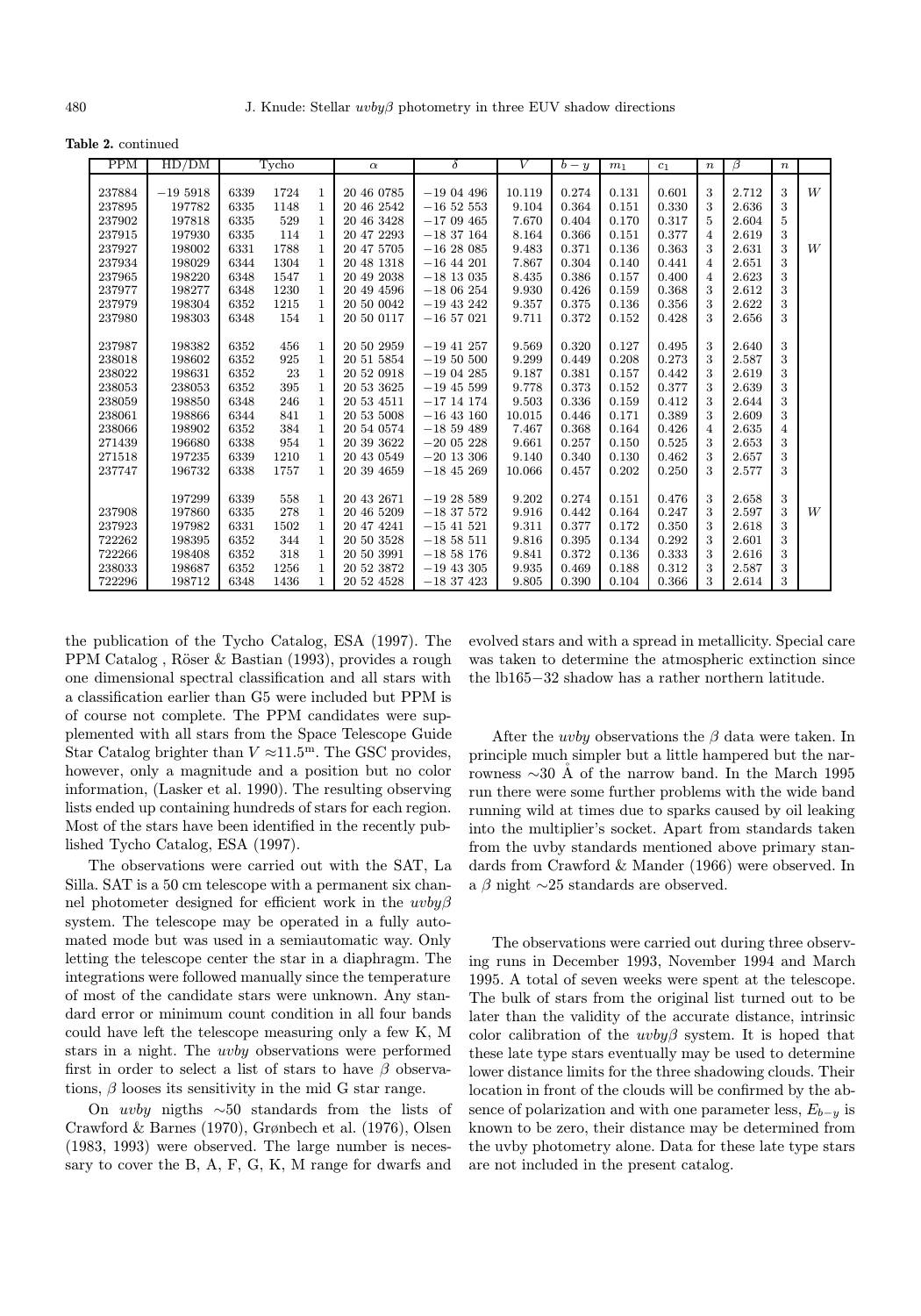Table 2. continued

| <b>PPM</b> | HD/DM     |      | Tycho |              | $\alpha$   | δ              | V      | $b - y$ | m <sub>1</sub> | $c_1$ | $\boldsymbol{n}$ | β     | $\boldsymbol{n}$ |   |
|------------|-----------|------|-------|--------------|------------|----------------|--------|---------|----------------|-------|------------------|-------|------------------|---|
|            |           |      |       |              |            |                |        |         |                |       |                  |       |                  |   |
| 237884     | $-195918$ | 6339 | 1724  | 1            | 20 46 0785 | $-1904496$     | 10.119 | 0.274   | 0.131          | 0.601 | 3                | 2.712 | 3                | W |
| 237895     | 197782    | 6335 | 1148  | $\mathbf{1}$ | 20 46 2542 | $-165253$      | 9.104  | 0.364   | 0.151          | 0.330 | 3                | 2.636 | 3                |   |
| 237902     | 197818    | 6335 | 529   | $\mathbf{1}$ | 20 46 3428 | $-1709465$     | 7.670  | 0.404   | 0.170          | 0.317 | 5                | 2.604 | 5                |   |
| 237915     | 197930    | 6335 | 114   | $\mathbf{1}$ | 20 47 2293 | $-1837164$     | 8.164  | 0.366   | 0.151          | 0.377 | $\overline{4}$   | 2.619 | 3                |   |
| 237927     | 198002    | 6331 | 1788  | $\mathbf{1}$ | 20 47 5705 | $-1628085$     | 9.483  | 0.371   | 0.136          | 0.363 | 3                | 2.631 | 3                | W |
| 237934     | 198029    | 6344 | 1304  | $\mathbf{1}$ | 20 48 1318 | $-16$ 44 201   | 7.867  | 0.304   | 0.140          | 0.441 | $\overline{4}$   | 2.651 | 3                |   |
| 237965     | 198220    | 6348 | 1547  | $\mathbf{1}$ | 20 49 2038 | $-18$ 13 035   | 8.435  | 0.386   | 0.157          | 0.400 | $\overline{4}$   | 2.623 | 3                |   |
| 237977     | 198277    | 6348 | 1230  | $\mathbf{1}$ | 20 49 4596 | $-1806254$     | 9.930  | 0.426   | 0.159          | 0.368 | 3                | 2.612 | 3                |   |
| 237979     | 198304    | 6352 | 1215  | $\mathbf{1}$ | 20 50 0042 | $-19$ 43 242   | 9.357  | 0.375   | 0.136          | 0.356 | 3                | 2.622 | 3                |   |
| 237980     | 198303    | 6348 | 154   | $\mathbf{1}$ | 20 50 0117 | $-16$ 57 021   | 9.711  | 0.372   | 0.152          | 0.428 | 3                | 2.656 | 3                |   |
|            |           |      |       |              |            |                |        |         |                |       |                  |       |                  |   |
| 237987     | 198382    | 6352 | 456   | $\mathbf{1}$ | 20 50 2959 | $-19$ 41 257   | 9.569  | 0.320   | 0.127          | 0.495 | 3                | 2.640 | 3                |   |
| 238018     | 198602    | 6352 | 925   | $\mathbf{1}$ | 20 51 5854 | $-19\ 50\ 500$ | 9.299  | 0.449   | 0.208          | 0.273 | 3                | 2.587 | 3                |   |
| 238022     | 198631    | 6352 | 23    | $\mathbf{1}$ | 20 52 0918 | $-1904285$     | 9.187  | 0.381   | 0.157          | 0.442 | 3                | 2.619 | 3                |   |
| 238053     | 238053    | 6352 | 395   | $\mathbf{1}$ | 20 53 3625 | $-19$ 45 599   | 9.778  | 0.373   | 0.152          | 0.377 | 3                | 2.639 | 3                |   |
| 238059     | 198850    | 6348 | 246   | $\mathbf{1}$ | 20 53 4511 | $-17$ 14 174   | 9.503  | 0.336   | 0.159          | 0.412 | 3                | 2.644 | 3                |   |
| 238061     | 198866    | 6344 | 841   | $\mathbf{1}$ | 20 53 5008 | $-16$ 43 160   | 10.015 | 0.446   | 0.171          | 0.389 | 3                | 2.609 | 3                |   |
| 238066     | 198902    | 6352 | 384   | $\mathbf{1}$ | 20 54 0574 | $-1859489$     | 7.467  | 0.368   | 0.164          | 0.426 | $\overline{4}$   | 2.635 | $\overline{4}$   |   |
| 271439     | 196680    | 6338 | 954   | $\mathbf{1}$ | 20 39 3622 | $-2005228$     | 9.661  | 0.257   | 0.150          | 0.525 | 3                | 2.653 | 3                |   |
| 271518     | 197235    | 6339 | 1210  | $\mathbf{1}$ | 20 43 0549 | $-20$ 13 306   | 9.140  | 0.340   | 0.130          | 0.462 | 3                | 2.657 | 3                |   |
| 237747     | 196732    | 6338 | 1757  | $\mathbf{1}$ | 20 39 4659 | $-18$ 45 269   | 10.066 | 0.457   | 0.202          | 0.250 | 3                | 2.577 | 3                |   |
|            |           |      |       |              |            |                |        |         |                |       |                  |       |                  |   |
|            | 197299    | 6339 | 558   | $\mathbf{1}$ | 20 43 2671 | $-1928589$     | 9.202  | 0.274   | 0.151          | 0.476 | 3                | 2.658 | 3                |   |
| 237908     | 197860    | 6335 | 278   | $\mathbf{1}$ | 20 46 5209 | $-1837572$     | 9.916  | 0.442   | 0.164          | 0.247 | 3                | 2.597 | 3                | W |
| 237923     | 197982    | 6331 | 1502  | $\mathbf{1}$ | 20 47 4241 | $-15$ 41 521   | 9.311  | 0.377   | 0.172          | 0.350 | 3                | 2.618 | 3                |   |
| 722262     | 198395    | 6352 | 344   | $\mathbf{1}$ | 20 50 3528 | $-1858511$     | 9.816  | 0.395   | 0.134          | 0.292 | 3                | 2.601 | 3                |   |
| 722266     | 198408    | 6352 | 318   | $\mathbf{1}$ | 20 50 3991 | $-1858176$     | 9.841  | 0.372   | 0.136          | 0.333 | 3                | 2.616 | 3                |   |
| 238033     | 198687    | 6352 | 1256  | $\mathbf{1}$ | 20 52 3872 | $-19$ 43 305   | 9.935  | 0.469   | 0.188          | 0.312 | 3                | 2.587 | 3                |   |
| 722296     | 198712    | 6348 | 1436  | $\mathbf{1}$ | 20 52 4528 | $-1837423$     | 9.805  | 0.390   | 0.104          | 0.366 | 3                | 2.614 | 3                |   |

the publication of the Tycho Catalog, ESA (1997). The PPM Catalog, Röser & Bastian (1993), provides a rough one dimensional spectral classification and all stars with a classification earlier than G5 were included but PPM is of course not complete. The PPM candidates were supplemented with all stars from the Space Telescope Guide Star Catalog brighter than  $V \approx 11.5^{\text{m}}$ . The GSC provides, however, only a magnitude and a position but no color information, (Lasker et al. 1990). The resulting observing lists ended up containing hundreds of stars for each region. Most of the stars have been identified in the recently published Tycho Catalog, ESA (1997).

The observations were carried out with the SAT, La Silla. SAT is a 50 cm telescope with a permanent six channel photometer designed for efficient work in the  $uvby\beta$ system. The telescope may be operated in a fully automated mode but was used in a semiautomatic way. Only letting the telescope center the star in a diaphragm. The integrations were followed manually since the temperature of most of the candidate stars were unknown. Any standard error or minimum count condition in all four bands could have left the telescope measuring only a few K, M stars in a night. The uvby observations were performed first in order to select a list of stars to have  $\beta$  observations,  $\beta$  looses its sensitivity in the mid G star range.

On *uvby* nigths  $\sim 50$  standards from the lists of Crawford & Barnes (1970), Grønbech et al. (1976), Olsen (1983, 1993) were observed. The large number is necessary to cover the B, A, F, G, K, M range for dwarfs and

evolved stars and with a spread in metallicity. Special care was taken to determine the atmospheric extinction since the lb165−32 shadow has a rather northern latitude.

After the *uvby* observations the  $\beta$  data were taken. In principle much simpler but a little hampered but the narrowness  $\sim$ 30 Å of the narrow band. In the March 1995 run there were some further problems with the wide band running wild at times due to sparks caused by oil leaking into the multiplier's socket. Apart from standards taken from the uvby standards mentioned above primary standards from Crawford & Mander (1966) were observed. In a  $\beta$  night  $\sim$ 25 standards are observed.

The observations were carried out during three observing runs in December 1993, November 1994 and March 1995. A total of seven weeks were spent at the telescope. The bulk of stars from the original list turned out to be later than the validity of the accurate distance, intrinsic color calibration of the  $uvby\beta$  system. It is hoped that these late type stars eventually may be used to determine lower distance limits for the three shadowing clouds. Their location in front of the clouds will be confirmed by the absence of polarization and with one parameter less,  $E_{b-y}$  is known to be zero, their distance may be determined from the uvby photometry alone. Data for these late type stars are not included in the present catalog.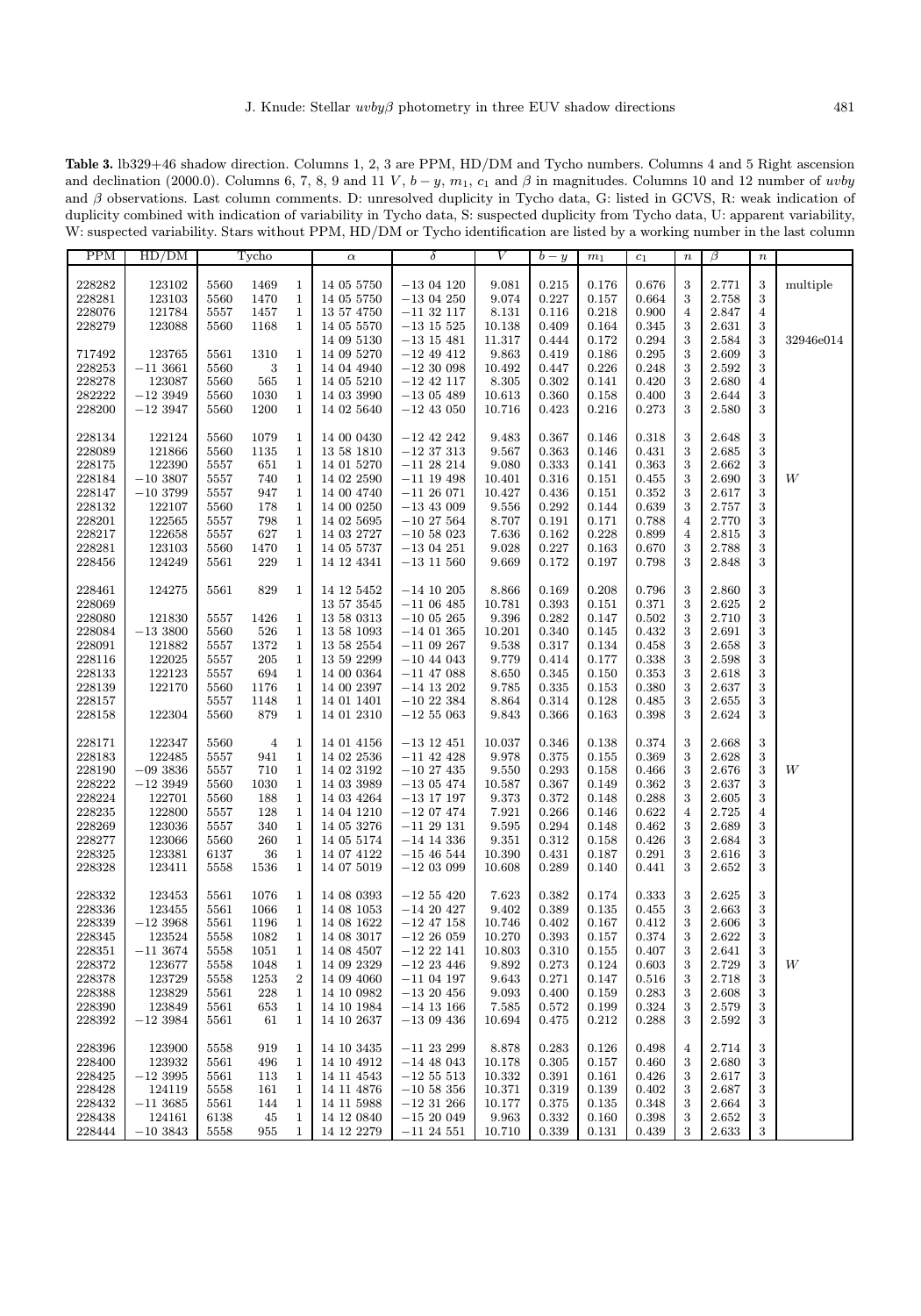Table 3. lb329+46 shadow direction. Columns 1, 2, 3 are PPM, HD/DM and Tycho numbers. Columns 4 and 5 Right ascension and declination (2000.0). Columns 6, 7, 8, 9 and 11 V,  $b - y$ ,  $m_1$ ,  $c_1$  and  $\beta$  in magnitudes. Columns 10 and 12 number of uvby and β observations. Last column comments. D: unresolved duplicity in Tycho data, G: listed in GCVS, R: weak indication of duplicity combined with indication of variability in Tycho data, S: suspected duplicity from Tycho data, U: apparent variability, W: suspected variability. Stars without PPM, HD/DM or Tycho identification are listed by a working number in the last column

| <b>PPM</b> | HD/DM     |      | Tycho          |              | $\alpha$   | $\delta$       | V      | $b - y$ | m <sub>1</sub> | $\scriptstyle c_1$ | $\boldsymbol{n}$ | $\beta$ | $\, n$           |           |
|------------|-----------|------|----------------|--------------|------------|----------------|--------|---------|----------------|--------------------|------------------|---------|------------------|-----------|
|            |           |      |                |              |            |                |        |         |                |                    |                  |         |                  |           |
| 228282     | 123102    | 5560 | 1469           | $\mathbf{1}$ | 14 05 5750 | $-1304120$     | 9.081  | 0.215   | 0.176          | 0.676              | 3                | 2.771   | $\,3$            | multiple  |
| 228281     | 123103    | 5560 | 1470           | $\mathbf{1}$ | 14 05 5750 | $-1304250$     | 9.074  | 0.227   | 0.157          | 0.664              | 3                | 2.758   | $\,3$            |           |
| 228076     | 121784    | 5557 | 1457           | $\,1$        | 13 57 4750 | $-11$ 32 $117$ | 8.131  | 0.116   | 0.218          | 0.900              | 4                | 2.847   | $\overline{4}$   |           |
| 228279     | 123088    | 5560 | 1168           | $\mathbf{1}$ | 14 05 5570 | $-13$ 15 525   | 10.138 | 0.409   | 0.164          | 0.345              | 3                | 2.631   | $\,3$            |           |
|            |           |      |                |              |            | $-13$ 15 481   |        |         | 0.172          |                    |                  |         | $\,3$            |           |
|            |           |      |                |              | 14 09 5130 |                | 11.317 | 0.444   |                | 0.294              | 3                | 2.584   |                  | 32946e014 |
| 717492     | 123765    | 5561 | 1310           | $\mathbf 1$  | 14 09 5270 | $-12$ 49 412   | 9.863  | 0.419   | 0.186          | 0.295              | 3                | 2.609   | $\,3$            |           |
| 228253     | $-113661$ | 5560 | 3              | $\mathbf{1}$ | 14 04 4940 | $-1230098$     | 10.492 | 0.447   | 0.226          | 0.248              | 3                | 2.592   | $\,3$            |           |
| 228278     | 123087    | 5560 | 565            | $\mathbf{1}$ | 14 05 5210 | $-12$ 42 117   | 8.305  | 0.302   | 0.141          | 0.420              | 3                | 2.680   | $\,4$            |           |
| 282222     | $-123949$ | 5560 | 1030           | $\mathbf{1}$ | 14 03 3990 | $-1305489$     | 10.613 | 0.360   | 0.158          | 0.400              | 3                | 2.644   | $\,3$            |           |
| 228200     | $-123947$ | 5560 | 1200           | $\mathbf{1}$ | 14 02 5640 | $-12$ 43 050   | 10.716 | 0.423   | 0.216          | 0.273              | 3                | 2.580   | $\,3$            |           |
|            |           |      |                |              |            |                |        |         |                |                    |                  |         |                  |           |
| 228134     | 122124    | 5560 | 1079           | $\mathbf{1}$ | 14 00 0430 | $-12$ 42 242   | 9.483  | 0.367   | 0.146          | 0.318              | 3                | 2.648   | $\,3$            |           |
| 228089     | 121866    | 5560 | 1135           | $\mathbf{1}$ | 13 58 1810 | $-12$ 37 313   | 9.567  | 0.363   | 0.146          | 0.431              | 3                | 2.685   | $\,3$            |           |
| 228175     | 122390    | 5557 | 651            | $\mathbf{1}$ | 14 01 5270 | $-11$ 28 214   | 9.080  | 0.333   | 0.141          | 0.363              | 3                | 2.662   | $\,3$            |           |
| 228184     | $-103807$ | 5557 | 740            | $\mathbf{1}$ | 14 02 2590 | $-11$ 19 498   | 10.401 | 0.316   | 0.151          | 0.455              | 3                | 2.690   | $\,3$            | W         |
| 228147     | $-103799$ | 5557 | 947            | $\mathbf{1}$ | 14 00 4740 | $-11\;26\;071$ | 10.427 | 0.436   | 0.151          | 0.352              | 3                | 2.617   | $\,3$            |           |
|            |           |      |                | $\mathbf{1}$ |            |                |        |         |                |                    |                  |         | $\,3$            |           |
| 228132     | 122107    | 5560 | 178            |              | 14 00 0250 | $-13$ 43 009   | 9.556  | 0.292   | 0.144          | 0.639              | 3                | 2.757   |                  |           |
| 228201     | 122565    | 5557 | 798            | $\mathbf{1}$ | 14 02 5695 | $-10$ 27 564   | 8.707  | 0.191   | 0.171          | 0.788              | 4                | 2.770   | $\,3$            |           |
| 228217     | 122658    | 5557 | 627            | $\mathbf{1}$ | 14 03 2727 | $-10\,58\,023$ | 7.636  | 0.162   | 0.228          | 0.899              | $\overline{4}$   | 2.815   | $\,3$            |           |
| 228281     | 123103    | 5560 | 1470           | $\mathbf{1}$ | 14 05 5737 | $-1304251$     | 9.028  | 0.227   | 0.163          | 0.670              | 3                | 2.788   | $\,3$            |           |
| 228456     | 124249    | 5561 | 229            | $\mathbf{1}$ | 14 12 4341 | $-13\;11\;560$ | 9.669  | 0.172   | 0.197          | 0.798              | 3                | 2.848   | 3                |           |
|            |           |      |                |              |            |                |        |         |                |                    |                  |         |                  |           |
| 228461     | 124275    | 5561 | 829            | $\mathbf{1}$ | 14 12 5452 | $-14$ 10 $205$ | 8.866  | 0.169   | 0.208          | 0.796              | 3                | 2.860   | 3                |           |
| 228069     |           |      |                |              | 13 57 3545 | $-1106485$     | 10.781 | 0.393   | 0.151          | 0.371              | 3                | 2.625   | $\,2$            |           |
| 228080     | 121830    | 5557 | 1426           | $\mathbf{1}$ | 13 58 0313 | $-1005265$     | 9.396  | 0.282   | 0.147          | 0.502              | 3                | 2.710   | 3                |           |
| 228084     | $-133800$ | 5560 | 526            | $\mathbf{1}$ | 13 58 1093 | $-14$ 01 365   | 10.201 | 0.340   | 0.145          | 0.432              | 3                | 2.691   | $\,3$            |           |
| 228091     | 121882    | 5557 | 1372           | $\mathbf{1}$ | 13 58 2554 | $-11$ 09 267   | 9.538  | 0.317   | 0.134          | 0.458              | 3                | 2.658   | $\,3$            |           |
| 228116     | 122025    | 5557 | 205            | $\mathbf{1}$ | 13 59 2299 | $-10$ 44 043   | 9.779  | 0.414   | 0.177          | 0.338              | 3                | 2.598   | $\,3$            |           |
|            |           |      |                |              |            |                | 8.650  |         |                |                    |                  |         | $\,3$            |           |
| 228133     | 122123    | 5557 | 694            | $\mathbf{1}$ | 14 00 0364 | $-11$ 47 088   |        | 0.345   | 0.150          | 0.353              | 3                | 2.618   |                  |           |
| 228139     | 122170    | 5560 | 1176           | $\mathbf{1}$ | 14 00 2397 | $-14$ 13 202   | 9.785  | 0.335   | 0.153          | 0.380              | 3                | 2.637   | $\,3$            |           |
| 228157     |           | 5557 | 1148           | $\mathbf{1}$ | 14 01 1401 | $-1022384$     | 8.864  | 0.314   | 0.128          | 0.485              | $\,3$            | 2.655   | $\,3$            |           |
| 228158     | 122304    | 5560 | 879            | $\mathbf{1}$ | 14 01 2310 | $-12\,55\,063$ | 9.843  | 0.366   | 0.163          | 0.398              | 3                | 2.624   | 3                |           |
|            |           |      |                |              |            |                |        |         |                |                    |                  |         |                  |           |
| 228171     | 122347    | 5560 | $\overline{4}$ | $\mathbf{1}$ | 14 01 4156 | $-13$ 12 451   | 10.037 | 0.346   | 0.138          | 0.374              | 3                | 2.668   | 3                |           |
| 228183     | 122485    | 5557 | 941            | $\mathbf{1}$ | 14 02 2536 | $-11$ 42 428   | 9.978  | 0.375   | 0.155          | 0.369              | $\,3$            | 2.628   | $\,3$            |           |
| 228190     | $-093836$ | 5557 | 710            | $\mathbf{1}$ | 14 02 3192 | $-10$ 27 435   | 9.550  | 0.293   | 0.158          | 0.466              | 3                | 2.676   | $\,3$            | W         |
| 228222     | $-123949$ | 5560 | 1030           | $\mathbf{1}$ | 14 03 3989 | $-1305474$     | 10.587 | 0.367   | 0.149          | 0.362              | 3                | 2.637   | $\,3$            |           |
| 228224     | 122701    | 5560 | 188            | $\mathbf{1}$ | 14 03 4264 | $-13$ 17 197   | 9.373  | 0.372   | 0.148          | 0.288              | 3                | 2.605   | $\,3$            |           |
| 228235     | 122800    | 5557 | 128            | $\mathbf{1}$ | 14 04 1210 | $-1207474$     | 7.921  | 0.266   | 0.146          | 0.622              | $\overline{4}$   | 2.725   | $\overline{4}$   |           |
| 228269     | 123036    | 5557 | 340            | $\mathbf{1}$ | 14 05 3276 | $-11\ 29\ 131$ | 9.595  | 0.294   | 0.148          | 0.462              | 3                | 2.689   | 3                |           |
| 228277     | 123066    | 5560 | 260            | $\mathbf{1}$ | 14 05 5174 | $-14$ 14 336   | 9.351  | 0.312   | 0.158          | 0.426              | 3                | 2.684   | $\,3$            |           |
| 228325     | 123381    | 6137 | 36             | $\mathbf{1}$ | 14 07 4122 | $-15\;46\;544$ | 10.390 | 0.431   | 0.187          | 0.291              | 3                | 2.616   | $\,3$            |           |
| 228328     | 123411    | 5558 | 1536           | $\mathbf{1}$ | 14 07 5019 | $-1203099$     | 10.608 | 0.289   | 0.140          | 0.441              | 3                | 2.652   | $\boldsymbol{3}$ |           |
|            |           |      |                |              |            |                |        |         |                |                    |                  |         |                  |           |
| 228332     | 123453    | 5561 | 1076           | $\mathbf{1}$ | 14 08 0393 | $-12\,55\,420$ | 7.623  | 0.382   | 0.174          | 0.333              | 3                | 2.625   | $\,3$            |           |
| 228336     | 123455    | 5561 | 1066           | $\mathbf{1}$ | 14 08 1053 | $-1420427$     | 9.402  | 0.389   | 0.135          | 0.455              | 3                | 2.663   | $\,3$            |           |
|            |           |      |                | $\mathbf 1$  |            |                |        |         |                | 0.412              | 3                |         | $\,3$            |           |
| 228339     | $-123968$ | 5561 | 1196           |              | 14 08 1622 | $-12$ 47 $158$ | 10.746 | 0.402   | 0.167          |                    |                  | 2.606   |                  |           |
| 228345     | 123524    | 5558 | 1082           | $\mathbf{1}$ | 14 08 3017 | $-1226059$     | 10.270 | 0.393   | 0.157          | 0.374              | 3                | 2.622   | 3                |           |
| 228351     | $-113674$ | 5558 | 1051           | $\mathbf{1}$ | 14 08 4507 | $-12$ 22 141   | 10.803 | 0.310   | 0.155          | 0.407              | 3                | 2.641   | 3                |           |
| 228372     | 123677    | 5558 | 1048           | $\mathbf 1$  | 14 09 2329 | $-12$ 23 446   | 9.892  | 0.273   | 0.124          | 0.603              | 3                | 2.729   | $\,3$            | W         |
| 228378     | 123729    | 5558 | 1253           | $\,2$        | 14 09 4060 | $-11$ 04 197   | 9.643  | 0.271   | 0.147          | 0.516              | 3                | 2.718   | $\,3$            |           |
| 228388     | 123829    | 5561 | 228            | $\mathbf{1}$ | 14 10 0982 | $-13$ 20 456   | 9.093  | 0.400   | 0.159          | 0.283              | 3                | 2.608   | 3                |           |
| 228390     | 123849    | 5561 | 653            | $\mathbf{1}$ | 14 10 1984 | $-14$ 13 166   | 7.585  | 0.572   | 0.199          | 0.324              | 3                | 2.579   | $\,3$            |           |
| 228392     | $-123984$ | 5561 | 61             | $\mathbf{1}$ | 14 10 2637 | $-1309436$     | 10.694 | 0.475   | 0.212          | 0.288              | 3                | 2.592   | 3                |           |
|            |           |      |                |              |            |                |        |         |                |                    |                  |         |                  |           |
| 228396     | 123900    | 5558 | 919            | 1            | 14 10 3435 | $-11$ 23 299   | 8.878  | 0.283   | 0.126          | 0.498              | 4                | 2.714   | $\,3$            |           |
| 228400     | 123932    | 5561 | 496            | $\mathbf{1}$ | 14 10 4912 | $-14$ 48 043   | 10.178 | 0.305   | 0.157          | 0.460              | 3                | 2.680   | $\,3$            |           |
| 228425     | $-123995$ | 5561 | 113            | $\mathbf 1$  | 14 11 4543 | $-12\,55\,513$ | 10.332 | 0.391   | 0.161          | 0.426              | 3                | 2.617   | 3                |           |
| 228428     | 124119    | 5558 | 161            | $\mathbf{1}$ | 14 11 4876 | $-10$ 58 356   | 10.371 | 0.319   | 0.139          | 0.402              | 3                | 2.687   | $\,3$            |           |
| 228432     | $-113685$ | 5561 | 144            | $\mathbf{1}$ | 14 11 5988 | $-12$ 31 266   | 10.177 | 0.375   | 0.135          | 0.348              | 3                | 2.664   | 3                |           |
| 228438     | 124161    | 6138 | 45             | $\mathbf{1}$ | 14 12 0840 | $-1520049$     | 9.963  | 0.332   | 0.160          | 0.398              | $\,3$            | 2.652   | $\,3$            |           |
| 228444     | $-103843$ |      |                | $\mathbf{1}$ | 14 12 2279 | $-11$ 24 551   | 10.710 | 0.339   | 0.131          | 0.439              | 3                | 2.633   | 3                |           |
|            |           | 5558 | 955            |              |            |                |        |         |                |                    |                  |         |                  |           |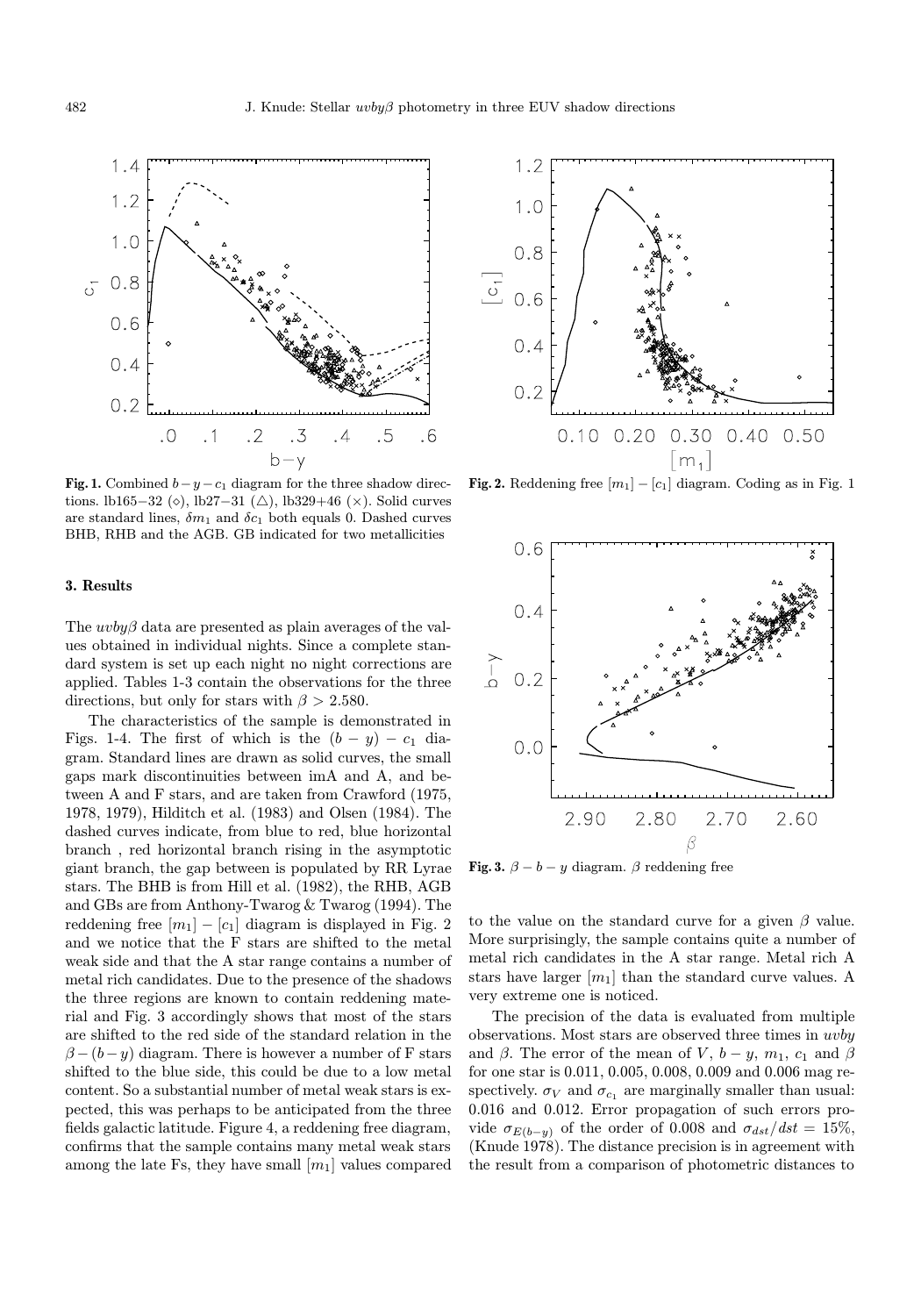

Fig. 1. Combined  $b-y-c_1$  diagram for the three shadow directions. lb165−32 ( $\diamond$ ), lb27−31 ( $\triangle$ ), lb329+46 ( $\times$ ). Solid curves are standard lines,  $\delta m_1$  and  $\delta c_1$  both equals 0. Dashed curves BHB, RHB and the AGB. GB indicated for two metallicities

## 3. Results

The  $uvby\beta$  data are presented as plain averages of the values obtained in individual nights. Since a complete standard system is set up each night no night corrections are applied. Tables 1-3 contain the observations for the three directions, but only for stars with  $\beta > 2.580$ .

The characteristics of the sample is demonstrated in Figs. 1-4. The first of which is the  $(b - y) - c_1$  diagram. Standard lines are drawn as solid curves, the small gaps mark discontinuities between imA and A, and between A and F stars, and are taken from Crawford (1975, 1978, 1979), Hilditch et al. (1983) and Olsen (1984). The dashed curves indicate, from blue to red, blue horizontal branch , red horizontal branch rising in the asymptotic giant branch, the gap between is populated by RR Lyrae stars. The BHB is from Hill et al. (1982), the RHB, AGB and GBs are from Anthony-Twarog & Twarog (1994). The reddening free  $[m_1] - [c_1]$  diagram is displayed in Fig. 2 and we notice that the F stars are shifted to the metal weak side and that the A star range contains a number of metal rich candidates. Due to the presence of the shadows the three regions are known to contain reddening material and Fig. 3 accordingly shows that most of the stars are shifted to the red side of the standard relation in the  $\beta-(b-y)$  diagram. There is however a number of F stars shifted to the blue side, this could be due to a low metal content. So a substantial number of metal weak stars is expected, this was perhaps to be anticipated from the three fields galactic latitude. Figure 4, a reddening free diagram, confirms that the sample contains many metal weak stars among the late Fs, they have small  $[m_1]$  values compared



**Fig. 2.** Reddening free  $[m_1] - [c_1]$  diagram. Coding as in Fig. 1



**Fig. 3.**  $\beta - b - y$  diagram.  $\beta$  reddening free

to the value on the standard curve for a given  $\beta$  value. More surprisingly, the sample contains quite a number of metal rich candidates in the A star range. Metal rich A stars have larger  $[m_1]$  than the standard curve values. A very extreme one is noticed.

The precision of the data is evaluated from multiple observations. Most stars are observed three times in uvby and  $\beta$ . The error of the mean of V,  $b - y$ ,  $m_1$ ,  $c_1$  and  $\beta$ for one star is 0.011, 0.005, 0.008, 0.009 and 0.006 mag respectively.  $\sigma_V$  and  $\sigma_{c_1}$  are marginally smaller than usual: 0.016 and 0.012. Error propagation of such errors provide  $\sigma_{E(b-y)}$  of the order of 0.008 and  $\sigma_{dst}/dst = 15\%$ , (Knude 1978). The distance precision is in agreement with the result from a comparison of photometric distances to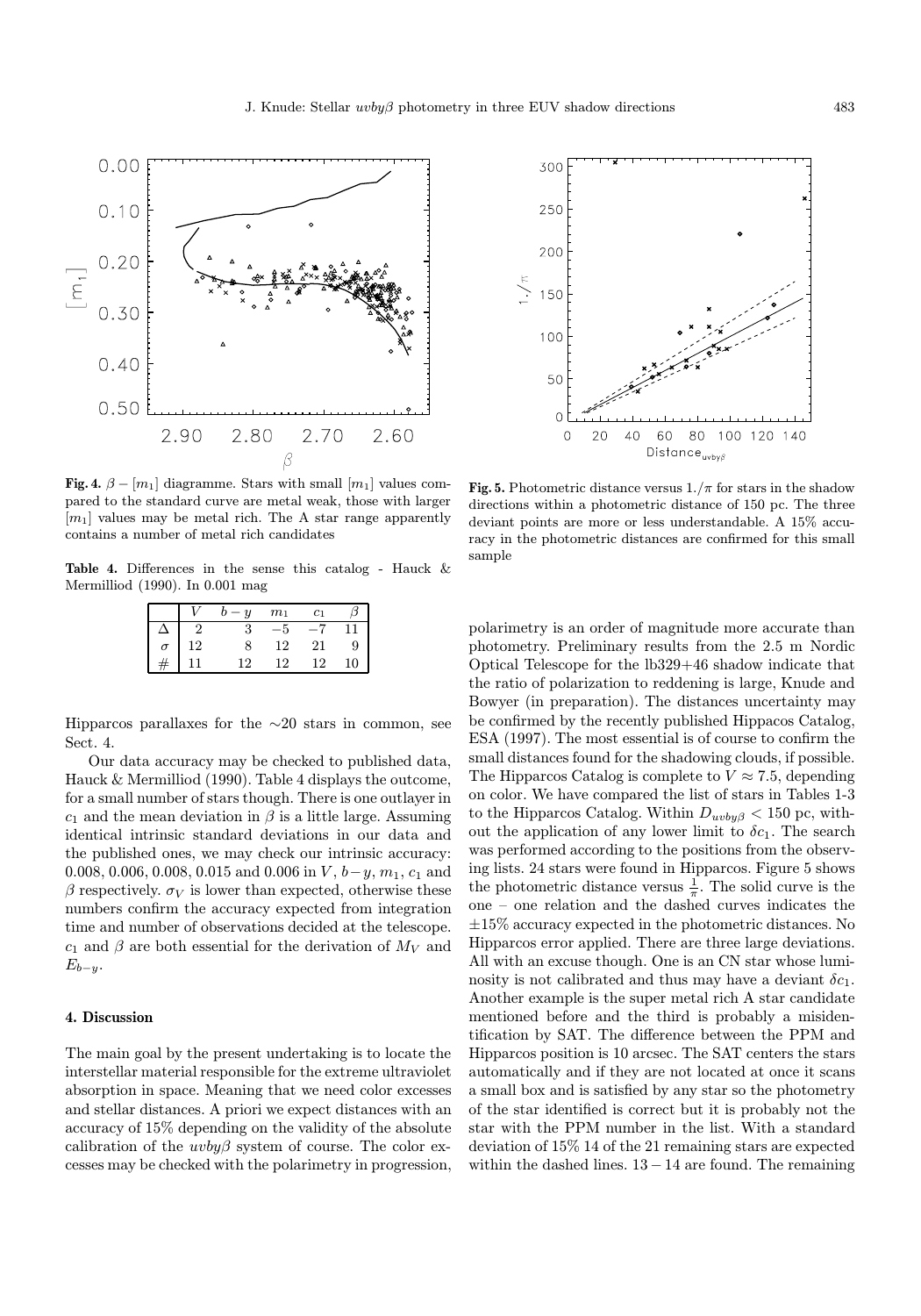

Fig. 4.  $\beta - [m_1]$  diagramme. Stars with small  $[m_1]$  values compared to the standard curve are metal weak, those with larger  $[m_1]$  values may be metal rich. The A star range apparently contains a number of metal rich candidates

Table 4. Differences in the sense this catalog - Hauck & Mermilliod (1990). In 0.001 mag

|                | m <sub>1</sub> | $_{c_1}$ |    |
|----------------|----------------|----------|----|
|                |                |          |    |
| $\overline{2}$ | 12             | ŽΙ       | g  |
|                | 19             | ാ        | '0 |

Hipparcos parallaxes for the  $\sim$ 20 stars in common, see Sect. 4.

Our data accuracy may be checked to published data, Hauck & Mermilliod (1990). Table 4 displays the outcome, for a small number of stars though. There is one outlayer in  $c_1$  and the mean deviation in  $\beta$  is a little large. Assuming identical intrinsic standard deviations in our data and the published ones, we may check our intrinsic accuracy: 0.008, 0.006, 0.008, 0.015 and 0.006 in V,  $b-y$ ,  $m_1$ ,  $c_1$  and β respectively.  $\sigma_V$  is lower than expected, otherwise these numbers confirm the accuracy expected from integration time and number of observations decided at the telescope.  $c_1$  and  $\beta$  are both essential for the derivation of  $M_V$  and  $E_{b-u}$ .

## 4. Discussion

The main goal by the present undertaking is to locate the interstellar material responsible for the extreme ultraviolet absorption in space. Meaning that we need color excesses and stellar distances. A priori we expect distances with an accuracy of 15% depending on the validity of the absolute calibration of the  $uvby\beta$  system of course. The color excesses may be checked with the polarimetry in progression,



Fig. 5. Photometric distance versus  $1./\pi$  for stars in the shadow directions within a photometric distance of 150 pc. The three deviant points are more or less understandable. A 15% accuracy in the photometric distances are confirmed for this small sample

polarimetry is an order of magnitude more accurate than photometry. Preliminary results from the 2.5 m Nordic Optical Telescope for the lb329+46 shadow indicate that the ratio of polarization to reddening is large, Knude and Bowyer (in preparation). The distances uncertainty may be confirmed by the recently published Hippacos Catalog, ESA (1997). The most essential is of course to confirm the small distances found for the shadowing clouds, if possible. The Hipparcos Catalog is complete to  $V \approx 7.5$ , depending on color. We have compared the list of stars in Tables 1-3 to the Hipparcos Catalog. Within  $D_{uvby\beta} < 150$  pc, without the application of any lower limit to  $\delta c_1$ . The search was performed according to the positions from the observing lists. 24 stars were found in Hipparcos. Figure 5 shows the photometric distance versus  $\frac{1}{\pi}$ . The solid curve is the one – one relation and the dashed curves indicates the  $\pm 15\%$  accuracy expected in the photometric distances. No Hipparcos error applied. There are three large deviations. All with an excuse though. One is an CN star whose luminosity is not calibrated and thus may have a deviant  $\delta c_1$ . Another example is the super metal rich A star candidate mentioned before and the third is probably a misidentification by SAT. The difference between the PPM and Hipparcos position is 10 arcsec. The SAT centers the stars automatically and if they are not located at once it scans a small box and is satisfied by any star so the photometry of the star identified is correct but it is probably not the star with the PPM number in the list. With a standard deviation of 15% 14 of the 21 remaining stars are expected within the dashed lines. 13− 14 are found. The remaining